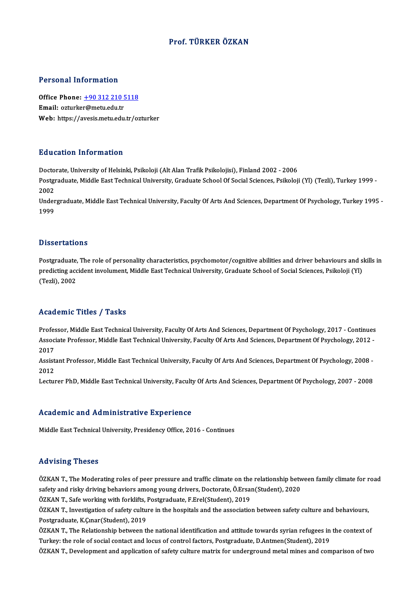#### Prof. TÜRKER ÖZKAN

#### Personal Information

Personal Information<br>Office Phone: <u>+90 312 210 5118</u><br>Email: exturker@metuedu.tr Procession and Christian<br>Office Phone: <u>+90 312 210 5</u><br>Email: ozturke[r@metu.edu.tr](tel:+90 312 210 5118) Email: ozturker@metu.edu.tr<br>Web: https://avesis.metu.edu.tr/ozturker

#### Education Information

Doctorate, University of Helsinki, Psikoloji (Alt Alan Trafik Psikolojisi), Finland 2002 - 2006 Pu u cutron Triron Inutron<br>Doctorate, University of Helsinki, Psikoloji (Alt Alan Trafik Psikolojisi), Finland 2002 - 2006<br>Postgraduate, Middle East Technical University, Graduate School Of Social Sciences, Psikoloji (Yl) Docto<br>Postgi<br>2002<br>Under Postgraduate, Middle East Technical University, Graduate School Of Social Sciences, Psikoloji (Yl) (Tezli), Turkey 1999 -<br>2002<br>Undergraduate, Middle East Technical University, Faculty Of Arts And Sciences, Department Of Ps

2002<br>Undergraduate, Middle East Technical University, Faculty Of Arts And Sciences, Department Of Psychology, Turkey 1995<br>1999

#### **Dissertations**

Dissertations<br>Postgraduate, The role of personality characteristics, psychomotor/cognitive abilities and driver behaviours and skills in<br>Predicting accident involument. Middle Feet Technical University, Creduate School of predictions<br>Postgraduate, The role of personality characteristics, psychomotor/cognitive abilities and driver behaviours and s<br>predicting accident involument, Middle East Technical University, Graduate School of Social Sci Postgraduate,<br>predicting acc<br>(Tezli), 2002

# Academic Titles / Tasks

Professor, Middle East Technical University, Faculty Of Arts And Sciences, Department Of Psychology, 2017 - Continues AssociateMice Profes / Profes<br>Professor, Middle East Technical University, Faculty Of Arts And Sciences, Department Of Psychology, 2017 - Continues<br>Associate Professor, Middle East Technical University, Faculty Of Arts And Profes<br>Assoc<br>2017<br>Assist Associate Professor, Middle East Technical University, Faculty Of Arts And Sciences, Department Of Psychology, 2012 -<br>2017<br>Assistant Professor, Middle East Technical University, Faculty Of Arts And Sciences, Department Of

2017<br>Assistant Professor, Middle East Technical University, Faculty Of Arts And Sciences, Department Of Psychology, 2008 -<br>2012

Lecturer PhD, Middle East Technical University, Faculty Of Arts And Sciences, Department Of Psychology, 2007 - 2008

#### Academic and Administrative Experience

Middle East Technical University, Presidency Office, 2016 - Continues

#### Advising Theses

ÖZKAN T., The Moderating roles of peer pressure and traffic climate on the relationship between family climate for road saaf vering a rice oo<br>ÖZKAN T., The Moderating roles of peer pressure and traffic climate on the relationship betw<br>safety and risky driving behaviors among young drivers, Doctorate, Ö.Ersan(Student), 2020<br>ÖZKAN T. Safe ver ÖZKAN T., The Moderating roles of peer pressure and traffic climate on the<br>safety and risky driving behaviors among young drivers, Doctorate, Ö.Ersa<br>ÖZKAN T., Safe working with forklifts, Postgraduate, F.Erel(Student), 201

ÖZKAN T., Safe working with forklifts, Postgraduate, F.Erel(Student), 2019

ÖZKAN T., Investigation of safety culture in the hospitals and the association between safety culture and behaviours,<br>Postgraduate, K.Çınar(Student), 2019 ÖZKAN T., Investigation of safety culture in the hospitals and the association between safety culture and behaviours,<br>Postgraduate, K.Çınar(Student), 2019<br>ÖZKAN T., The Relationship between the national identification and

Postgraduate, K.Çınar(Student), 2019<br>ÖZKAN T., The Relationship between the national identification and attitude towards syrian refugees in<br>Turkey: the role of social contact and locus of control factors, Postgraduate, D.A Turkey: the role of social contact and locus of control factors, Postgraduate, D.Antmen(Student), 2019<br>ÖZKAN T., Development and application of safety culture matrix for underground metal mines and comparison of two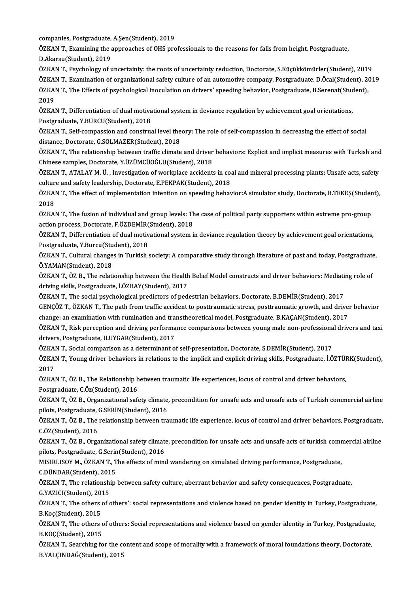companies, Postgraduate, A.Şen(Student), 2019<br>ÖZKAN T. Evamining the ennuashes of OUS pre

ÖZKAN T., Examining the approaches of OHS professionals to the reasons for falls from height, Postgraduate,<br>D.Akarsu(Student), 2019 companies, Postgraduate,<br>ÖZKAN T., Examining the a<br>D.Akarsu(Student), 2019<br>ÖZKAN T. Payshelogy of v

ÖZKAN T., Psychology of uncertainty: the roots of uncertainty reduction, Doctorate, S.Küçükkömürler(Student), 2019 ÖZKAN T., Examination of organizational safety culture of an automotive company, Postgraduate, D.Öcal(Student), 2019 ÖZKAN T., Psychology of uncertainty: the roots of uncertainty reduction, Doctorate, S.Küçükkömürler(Student), 201<br>ÖZKAN T., Examination of organizational safety culture of an automotive company, Postgraduate, D.Öcal(Studen ÖZKA<br>ÖZKA<br>2019<br>ÖZKA ÖZKAN T., The Effects of psychological inoculation on drivers' speeding behavior, Postgraduate, B.Serenat(Stud<br>2019<br>ÖZKAN T., Differentiation of dual motivational system in deviance regulation by achievement goal orientati

2019<br>ÖZKAN T., Differentiation of dual motivational system in deviance regulation by achievement goal orientations,<br>Postgraduate, Y.BURCU(Student), 2018 ÖZKAN T., Differentiation of dual motivational system in deviance regulation by achievement goal orientations,<br>Postgraduate, Y.BURCU(Student), 2018<br>ÖZKAN T., Self-compassion and construal level theory: The role of self-com

Postgraduate, Y.BURCU(Student), 2018<br>ÖZKAN T., Self-compassion and construal level the<br>distance, Doctorate, G.SOLMAZER(Student), 2018<br>ÖZKAN T. The relationship hetween traffic climate ÖZKAN T., Self-compassion and construal level theory: The role of self-compassion in decreasing the effect of social<br>distance, Doctorate, G.SOLMAZER(Student), 2018<br>ÖZKAN T., The relationship between traffic climate and dri

distance, Doctorate, G.SOLMAZER(Student), 2018<br>ÖZKAN T., The relationship between traffic climate and driver behaviors: Explicit and implicit measures with Turkish and<br>Chinese samples, Doctorate, Y.ÜZÜMCÜOĞLU(Student), 201 ÖZKAN T., The relationship between traffic climate and driver behaviors: Explicit and implicit measures with Turkish and<br>Chinese samples, Doctorate, Y.ÜZÜMCÜOĞLU(Student), 2018<br>ÖZKAN T., ATALAY M. Ü. , Investigation of wor

Chinese samples, Doctorate, Y.ÜZÜMCÜOĞLU(Student), 2018<br>ÖZKAN T., ATALAY M. Ü. , Investigation of workplace accidents in co.<br>culture and safety leadership, Doctorate, E.PEKPAK(Student), 2018<br>ÖZKAN T. The effect of implemen ÖZKAN T., ATALAY M. Ü. , Investigation of workplace accidents in coal and mineral processing plants: Unsafe acts, safety<br>culture and safety leadership, Doctorate, E.PEKPAK(Student), 2018<br>ÖZKAN T., The effect of implementat

culture and safety leadership, Doctorate, E.PEKPAK(Student), 2018<br>ÖZKAN T., The effect of implementation intention on speeding behavior:A simulator study, Doctorate, B.TEKEŞ(Stude:<br>2018<br>ÖZKAN T., The fusion of individual a ÖZKAN T., The effect of implementation intention on speeding behavior:A simulator study, Doctorate, B.TEKEŞ(Student),

2018<br>ÖZKAN T., The fusion of individual and group levels: The<br>action process, Doctorate, F.ÖZDEMİR(Student), 2018<br>ÖZKAN T. Differentiation of dual mativational system i ÖZKAN T., The fusion of individual and group levels: The case of political party supporters within extreme pro-group<br>action process, Doctorate, F.ÖZDEMİR(Student), 2018<br>ÖZKAN T., Differentiation of dual motivational system

action process, Doctorate, F.ÖZDEMİR<br>ÖZKAN T., Differentiation of dual motiv<br>Postgraduate, Y.Burcu(Student), 2018<br>ÖZKAN T. Cultural shanges in Turkish ÖZKAN T., Differentiation of dual motivational system in deviance regulation theory by achievement goal orientations,<br>Postgraduate, Y.Burcu(Student), 2018<br>ÖZKAN T., Cultural changes in Turkish society: A comparative study

Postgraduate, Y.Burcu(Student), 2018<br>ÖZKAN T., Cultural changes in Turkish society: A comparative study through literature of past and today, Postgraduate,<br>Ö.YAMAN(Student), 2018 ÖZKAN T., Cultural changes in Turkish society: A comparative study through literature of past and today, Postgraduate<br>Ö.YAMAN(Student), 2018<br>ÖZKAN T., ÖZ B., The relationship between the Health Belief Model constructs and

Ö.YAMAN(Student), 2018<br>ÖZKAN T., ÖZ B., The relationship between the Health<br>driving skills, Postgraduate, İ.ÖZBAY(Student), 2017<br>ÖZKAN T., The social psychological predictors of pod ÖZKAN T., ÖZ B., The relationship between the Health Belief Model constructs and driver behaviors: Mediation<br>driving skills, Postgraduate, İ.ÖZBAY(Student), 2017<br>ÖZKAN T., The social psychological predictors of pedestrian

driving skills, Postgraduate, İ.ÖZBAY(Student), 2017<br>ÖZKAN T., The social psychological predictors of pedestrian behaviors, Doctorate, B.DEMİR(Student), 2017<br>GENÇÖZ T., ÖZKAN T., The path from traffic accident to posttraum ÖZKAN T., The social psychological predictors of pedestrian behaviors, Doctorate, B.DEMİR(Student), 2017<br>GENÇÖZ T., ÖZKAN T., The path from traffic accident to posttraumatic stress, posttraumatic growth, and drive:<br>change: GENÇÖZ T., ÖZKAN T., The path from traffic accident to posttraumatic stress, posttraumatic growth, and driver behavior<br>change: an examination with rumination and transtheoretical model, Postgraduate, B.KAÇAN(Student), 2017

change: an examination with rumination and tra<br>ÖZKAN T., Risk perception and driving performa<br>drivers, Postgraduate, U.UYGAR(Student), 2017<br>ÖZKAN T. Social comporison as a determinant o ÖZKAN T., Risk perception and driving performance comparisons between young male non-professiona<br>drivers, Postgraduate, U.UYGAR(Student), 2017<br>ÖZKAN T., Social comparison as a determinant of self-presentation, Doctorate, S

drivers, Postgraduate, U.UYGAR(Student), 2017<br>ÖZKAN T., Social comparison as a determinant of self-presentation, Doctorate, S.DEMİR(Student), 2017<br>ÖZKAN T., Young driver behaviors in relations to the implicit and explicit ÖZKA<br>ÖZKA<br>2017<br>ÖZKAL ÖZKAN T., Young driver behaviors in relations to the implicit and explicit driving skills, Postgraduate, İ.ÖZTÜI<br>2017<br>ÖZKAN T., ÖZ B., The Relationship between traumatic life experiences, locus of control and driver behavi

2017<br>ÖZKAN T., ÖZ B., The Relationship between traumatic life experiences, locus of control and driver behaviors,<br>Postgraduate, C.Öz(Student), 2016

ÖZKAN T., ÖZ B., The Relationship between traumatic life experiences, locus of control and driver behaviors,<br>Postgraduate, C.Öz(Student), 2016<br>ÖZKAN T., ÖZ B., Organizational safety climate, precondition for unsafe acts an Postgraduate, C.Öz(Student), 2016<br>ÖZKAN T., ÖZ B., Organizational safety climate<br>pilots, Postgraduate, G.SERİN(Student), 2016<br>ÖZKAN T. ÖZ B. The rektionship betyeen tra ÖZKAN T., ÖZ B., Organizational safety climate, precondition for unsafe acts and unsafe acts of Turkish commercial airline<br>pilots, Postgraduate, G.SERİN(Student), 2016<br>ÖZKAN T., ÖZ B., The relationship between traumatic li

pilots, Postgraduate, (<br>ÖZKAN T., ÖZ B., The<br>C.ÖZ(Student), 2016<br>ÖZKAN T. ÖZ B. Orga ÖZKAN T., ÖZ B., The relationship between traumatic life experience, locus of control and driver behaviors, Postgraduate,<br>C.ÖZ(Student), 2016<br>ÖZKAN T., ÖZ B., Organizational safety climate, precondition for unsafe acts and

C.ÖZ(Student), 2016<br>ÖZKAN T., ÖZ B., Organizational safety climate, precondition for unsafe acts and unsafe acts of turkish commercial airline<br>pilots, Postgraduate, G.Serin(Student), 2016 ÖZKAN T., ÖZ B., Organizational safety climate, precondition for unsafe acts and unsafe acts of turkish comr<br>pilots, Postgraduate, G.Serin(Student), 2016<br>MISIRLISOY M., ÖZKAN T., The effects of mind wandering on simulated

pilots, Postgraduate, G.Serin<br>MISIRLISOY M., ÖZKAN T., T<br>C.DÜNDAR(Student), 2015<br>ÖZKAN T. The relationshin

MISIRLISOY M., ÖZKAN T., The effects of mind wandering on simulated driving performance, Postgraduate,<br>C.DÜNDAR(Student), 2015<br>ÖZKAN T., The relationship between safety culture, aberrant behavior and safety consequences, P C.DÜNDAR(Student), 201<br>ÖZKAN T., The relationshi<br>G.YAZICI(Student), 2015<br>ÖZKAN T. The others of a

ÖZKAN T., The relationship between safety culture, aberrant behavior and safety consequences, Postgraduate,<br>G.YAZICI(Student), 2015<br>ÖZKAN T., The others of others': social representations and violence based on gender ident G.YAZICI(Student), 2015<br>ÖZKAN T., The others of others': social representations and violence based on gender identity in Turkey, Postgraduate,<br>B.Koç(Student), 2015 ÖZKAN T., The others of others': social representations and violence based on gender identity in Turkey, Postgraduate,<br>B.Koç(Student), 2015<br>ÖZKAN T., The others of others: Social representations and violence based on gende

B.Koç(Student), 2015<br>ÖZKAN T., The others c<br>B.KOÇ(Student), 2015<br>ÖZKAN T. Searsbing fo ÖZKAN T., The others of others: Social representations and violence based on gender identity in Turkey, Postgraduate<br>B.KOÇ(Student), 2015<br>ÖZKAN T., Searching for the content and scope of morality with a framework of moral

B.KOÇ(Student), 2015<br>ÖZKAN T., Searching for the content and scope of morality with a framework of moral foundations theory, Doctorate,<br>B.YALÇINDAĞ(Student), 2015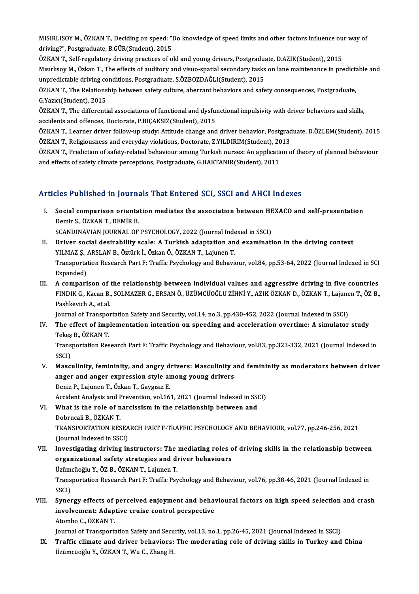MISIRLISOY M., ÖZKAN T., Deciding on speed: "Do knowledge of speed limits and other factors influence our way of<br>driving?", Restanduate B.CÜR(Student), 2015 MISIRLISOY M., ÖZKAN T., Deciding on speed: "I<br>driving?", Postgraduate, B.GÜR(Student), 2015<br>ÖZKAN T. Self negulatery driving prestisse of e MISIRLISOY M., ÖZKAN T., Deciding on speed: "Do knowledge of speed limits and other factors influence ou<br>driving?", Postgraduate, B.GÜR(Student), 2015<br>ÖZKAN T., Self-regulatory driving practices of old and young drivers, P

driving?", Postgraduate, B.GÜR(Student), 2015<br>ÖZKAN T., Self-regulatory driving practices of old and young drivers, Postgraduate, D.AZIK(Student), 2015<br>Misirlisoy M., Özkan T., The effects of auditory and visuo-spatial sec ÖZKAN T., Self-regulatory driving practices of old and young drivers, Postgraduations, Amerikaan T., The effects of auditory and visuo-spatial secondary tasks<br>unpredictable driving conditions, Postgraduate, S.ÖZBOZDAĞLI(St Mısırlısoy M., Özkan T., The effects of auditory and visuo-spatial secondary tasks on lane maintenance in predict<br>unpredictable driving conditions, Postgraduate, S.ÖZBOZDAĞLI(Student), 2015<br>ÖZKAN T., The Relationship betwe

unpredictable driving conditions, Postgraduate, S.ÖZBOZDAĞLI(Student), 2015<br>ÖZKAN T., The Relationship between safety culture, aberrant behaviors and saf<br>G.Yazıcı(Student), 2015 ÖZKAN T., The Relationship between safety culture, aberrant behaviors and safety consequences, Postgraduate,<br>G.Yazıcı(Student), 2015<br>ÖZKAN T., The differential associations of functional and dysfunctional impulsivity with

ÖZKAN T., The differential associations of functional and dysfunctional impulsivity with driver behaviors and skills, ÖZKAN T., The differential associations of functional and dysfunctional impulsivity with driver behaviors and skills,<br>accidents and offences, Doctorate, P.BIÇAKSIZ(Student), 2015<br>ÖZKAN T., Learner driver follow-up study: A

accidents and offences, Doctorate, P.BIÇAKSIZ(Student), 2015<br>ÖZKAN T., Learner driver follow-up study: Attitude change and driver behavior, Postgrad<br>ÖZKAN T., Religiousness and everyday violations, Doctorate, Z.YILDIRIM(St ÖZKAN T., Learner driver follow-up study: Attitude change and driver behavior, Postgraduate, D.ÖZLEM(Student), 2015<br>ÖZKAN T., Religiousness and everyday violations, Doctorate, Z.YILDIRIM(Student), 2013<br>ÖZKAN T., Prediction

ÖZKAN T., Religiousness and everyday violations, Doctorate, Z.YILDIRIM(Student), 2013<br>ÖZKAN T., Prediction of safety-related behaviour among Turkish nurses: An application of theory of planned behaviour<br>and effects of safe

#### Articles Published in Journals That Entered SCI, SSCI and AHCI Indexes

rticles Published in Journals That Entered SCI, SSCI and AHCI Indexes<br>I. Social comparison orientation mediates the association between HEXACO and self-presentation<br>Domins, ÖZKAN T. DEMIR B Social comparison orienta<br>Demir S., ÖZKAN T., DEMİR B.<br>SCANDINAVIAN IQUPNAL OF Social comparison orientation mediates the association between HE<br>Demir S., ÖZKAN T., DEMİR B.<br>SCANDINAVIAN JOURNAL OF PSYCHOLOGY, 2022 (Journal Indexed in SSCI)<br>Driver social desirability scale: A Turkish adaptation and e

SCANDINAVIAN JOURNAL OF PSYCHOLOGY, 2022 (Journal Indexed in SSCI)

- Demir S., ÖZKAN T., DEMİR B.<br>SCANDINAVIAN JOURNAL OF PSYCHOLOGY, 2022 (Journal Indexed in SSCI)<br>II. Driver social desirability scale: A Turkish adaptation and examination in the driving context<br>YILMAZ S., ARSLAN B., Öz Driver social desirability scale: A Turkish adaptation and examination in the driving context<br>YILMAZ \$., ARSLAN B., Öztürk İ., Özkan Ö., ÖZKAN T., Lajunen T.<br>Transportation Research Part F: Traffic Psychology and Behaviour YILMAZ Ş., *I*<br>Transportat<br>Expanded)<br>A compori Expanded)<br>III. A comparison of the relationship between individual values and aggressive driving in five countries
- Expanded)<br>A comparison of the relationship between individual values and aggressive driving in five countries<br>FINDIK G., Kacan B., SOLMAZER G., ERSAN Ö., ÜZÜMCÜOĞLU ZİHNİ Y., AZIK ÖZKAN D., ÖZKAN T., Lajunen T., ÖZ B.,<br>Pas A comparison of<br>FINDIK G., Kacan B.<br>Pashkevich A., et al.<br>Journal of Transpor FINDIK G., Kacan B., SOLMAZER G., ERSAN Ö., ÜZÜMCÜOĞLU ZİHNİ Y., AZIK ÖZKAN D., ÖZKAN T., Lajune<br>Pashkevich A., et al.<br>Journal of Transportation Safety and Security, vol.14, no.3, pp.430-452, 2022 (Journal Indexed in SSCI) Pashkevich A., et al.<br>Iournal of Transportation Safety and Security, vol.14, no.3, pp.430-452, 2022 (Journal Indexed in SSCI)<br>IV. The effect of implementation intention on speeding and acceleration overtime: A simulator st

Journal of Transpo<br>The effect of imp<br>Tekeş B., ÖZKAN T.<br>Transportation Bos

Transportation Research Part F: Traffic Psychology and Behaviour, vol.83, pp.323-332, 2021 (Journal Indexed in<br>SSCI) Tekeş<br>Trans<br>SSCI)<br>Masa Transportation Research Part F: Traffic Psychology and Behaviour, vol.83, pp.323-332, 2021 (Journal Indexed in<br>SSCI)<br>V. Masculinity, femininity, and angry drivers: Masculinity and femininity as moderators between driver<br>pr

- SSCI)<br>Masculinity, femininity, and angry drivers: Masculinity a<br>anger and anger expression style among young drivers<br>Peniz B. Laiuner T. Örken T. Gevgey E Masculinity, femininity, and angry d<br>anger and anger expression style are<br>Deniz P., Lajunen T., Özkan T., Gaygısız E.<br>Agident Anglysis and Prevention vel 16 anger and anger expression style among young drivers<br>Deniz P., Lajunen T., Özkan T., Gaygısız E.<br>Accident Analysis and Prevention, vol.161, 2021 (Journal Indexed in SSCI)<br>What is the rele of nargissism in the relationship
- Deniz P., Lajunen T., Özkan T., Gaygısız E.<br>Accident Analysis and Prevention, vol.161, 2021 (Journal Indexed in SS<br>VI. What is the role of narcissism in the relationship between and<br>Dobrucali B., ÖZKAN T. Accident Analysis and F<br>What is the role of n<br>Dobrucali B., ÖZKAN T.<br>TRANSPOPTATION PES What is the role of narcissism in the relationship between and<br>Dobrucali B., ÖZKAN T.<br>TRANSPORTATION RESEARCH PART F-TRAFFIC PSYCHOLOGY AND BEHAVIOUR, vol.77, pp.246-256, 2021<br>(Journal Indoved in SSCL) Dobrucali B., ÖZKAN T.<br>TRANSPORTATION RESEA<br>(Journal Indexed in SSCI)<br>Investigating driving in
- (Journal Indexed in SSCI)<br>VII. Investigating driving instructors: The mediating roles of driving skills in the relationship between (Journal Indexed in SSCI)<br>Investigating driving instructors: The mediating roles o<br>organizational safety strategies and driver behaviours<br><sup>Theimeiočh: V. ÖZ P. ÖZKAN T. Laiurer T</sub></sup> Investigating driving instructors: The<br>organizational safety strategies and di<br>Üzümcüoğlu Y., ÖZ B., ÖZKAN T., Lajunen T.<br>Transportation Bessensh Part E. Traffie Pau

organizational safety strategies and driver behaviours<br>Üzümcüoğlu Y., ÖZ B., ÖZKAN T., Lajunen T.<br>Transportation Research Part F: Traffic Psychology and Behaviour, vol.76, pp.38-46, 2021 (Journal Indexed in<br>SSCD Üzüm<br>Trans<br>SSCI)<br>Sunar Transportation Research Part F: Traffic Psychology and Behaviour, vol.76, pp.38-46, 2021 (Journal Indexed in<br>SSCI)<br>VIII. Synergy effects of perceived enjoyment and behavioural factors on high speed selection and crash<br>invo

## SSCI)<br>Synergy effects of perceived enjoyment and behav<br>involvement: Adaptive cruise control perspective<br>Atambe G ÖZKAN T Synergy effects of<br>involvement: Adap<br>Atombo C., ÖZKAN T.<br>Journal of Transport: involvement: Adaptive cruise control perspective<br>Atombo C., ÖZKAN T.<br>Journal of Transportation Safety and Security, vol.13, no.1, pp.26-45, 2021 (Journal Indexed in SSCI)<br>Traffic climate and driver behaviors: The moderatin

Atombo C., ÖZKAN T.<br>Journal of Transportation Safety and Security, vol.13, no.1, pp.26-45, 2021 (Journal Indexed in SSCI)<br>IX. Traffic climate and driver behaviors: The moderating role of driving skills in Turkey and China<br> Journal of Transportation Safety and Secu<br><mark>Traffic climate and driver behaviors:</mark><br>Üzümcüoğlu Y., ÖZKAN T., Wu C., Zhang H.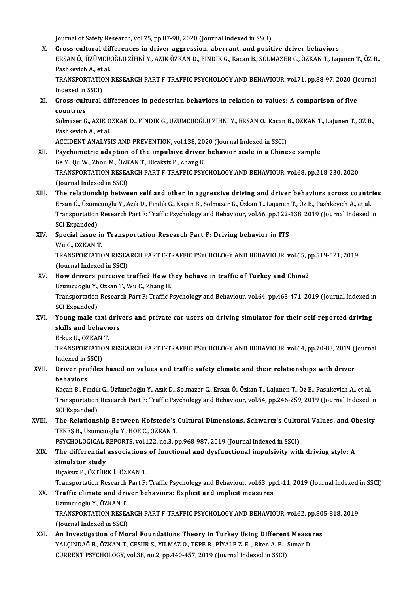Journal of Safety Research, vol.75, pp.87-98, 2020 (Journal Indexed in SSCI)

X. Cross-cultural differences in driver aggression, aberrant, and positive driver behaviors Journal of Safety Research, vol.75, pp.87-98, 2020 (Journal Indexed in SSCI)<br>Cross-cultural differences in driver aggression, aberrant, and positive driver behaviors<br>ERSAN Ö., ÜZÜMCÜOĞLU ZİHNİ Y., AZIK ÖZKAN D., FINDIK G., Cross-cultural dif<br>ERSAN Ö., ÜZÜMCÜ<br>Pashkevich A., et al.<br>TRANSBORTATION ERSAN Ö., ÜZÜMCÜOĞLU ZİHNİ Y., AZIK ÖZKAN D., FINDIK G., Kacan B., SOLMAZER G., ÖZKAN T., Lajunen T., ÖZ B<br>Pashkevich A., et al.<br>TRANSPORTATION RESEARCH PART F-TRAFFIC PSYCHOLOGY AND BEHAVIOUR, vol.71, pp.88-97, 2020 (Jour Pashkevich A., et al.<br>TRANSPORTATION RESEARCH PART F-TRAFFIC PSYCHOLOGY AND BEHAVIOUR, vol.71, pp.88-97, 2020 (Journal<br>Indexed in SSCI)

TRANSPORTATION RESEARCH PART F-TRAFFIC PSYCHOLOGY AND BEHAVIOUR, vol.71, pp.88-97, 2020 (Jondon)<br>Indexed in SSCI)<br>XI. Cross-cultural differences in pedestrian behaviors in relation to values: A comparison of five<br>countries

Indexed in<br>Cross-cult<br>countries<br>Selmager C Cross-cultural differences in pedestrian behaviors in relation to values: A comparison of five<br>countries<br>Solmazer G., AZIK ÖZKAN D., FINDIK G., ÜZÜMCÜOĞLU ZİHNİ Y., ERSAN Ö., Kacan B., ÖZKAN T., Lajunen T., ÖZ B.,<br>Peshkevi

**countries<br>Solmazer G., AZIK Ö<br>Pashkevich A., et al.<br>ACCIDENT ANALYS** Solmazer G., AZIK ÖZKAN D., FINDIK G., ÜZÜMCÜOĞLU ZİHNİ Y., ERSAN Ö., Kacan l<br>Pashkevich A., et al.<br>ACCIDENT ANALYSIS AND PREVENTION, vol.138, 2020 (Journal Indexed in SSCI)<br>Psychometris adaption of the impulsive driver be

- Pashkevich A., et al.<br>ACCIDENT ANALYSIS AND PREVENTION, vol.138, 2020 (Journal Indexed in SSCI)<br>XII. Psychometric adaption of the impulsive driver behavior scale in a Chinese sample GeY.,QuW.,ZhouM.,ÖZKANT.,BicaksizP.,ZhangK. Psychometric adaption of the impulsive driver behavior scale in a Chinese sample<br>Ge Y., Qu W., Zhou M., ÖZKAN T., Bicaksiz P., Zhang K.<br>TRANSPORTATION RESEARCH PART F-TRAFFIC PSYCHOLOGY AND BEHAVIOUR, vol.68, pp.218-230, 2 Ge Y., Qu W., Zhou M., ÖZK<br>TRANSPORTATION RESEA<br>(Journal Indexed in SSCI)<br>The relationship betwe TRANSPORTATION RESEARCH PART F-TRAFFIC PSYCHOLOGY AND BEHAVIOUR, vol.68, pp.218-230, 2020<br>(Journal Indexed in SSCI)<br>XIII. The relationship between self and other in aggressive driving and driver behaviors across countries<br>
- (Journal Indexed in SSCI)<br>The relationship between self and other in aggressive driving and driver behaviors across countr<br>Ersan Ö., Üzümcüoğlu Y., Azık D., Fındık G., Kaçan B., Solmazer G., Özkan T., Lajunen T., Öz B., Pa The relationship between self and other in aggressive driving and driver behaviors across countrie:<br>Ersan Ö., Üzümcüoğlu Y., Azık D., Fındık G., Kaçan B., Solmazer G., Özkan T., Lajunen T., Öz B., Pashkevich A., et al.<br>Tra Ersan Ö., Üzümcüoğlu Y., Azık D., Fındık G., Kaçan B., Solmazer G., Özkan T., Lajunen T., Öz B., Pashkevich A., et al.<br>Transportation Research Part F: Traffic Psychology and Behaviour, vol.66, pp.122-138, 2019 (Journal Ind Transportation Research Part F: Traffic Psychology and Behaviour, vol.66, pp.122-<br>SCI Expanded)<br>XIV. Special issue in Transportation Research Part F: Driving behavior in ITS<br>W. C. ÖZVAN T
- SCI Expanded)<br><mark>Special issue ir</mark><br>Wu C., ÖZKAN T.<br>TPANSPOPTATIG Special issue in Transportation Research Part F: Driving behavior in ITS<br>Wu C., ÖZKAN T.<br>TRANSPORTATION RESEARCH PART F-TRAFFIC PSYCHOLOGY AND BEHAVIOUR, vol.65, pp.519-521, 2019<br>(Journal Indoved in SSCL) Wu C., ÖZKAN T.<br>TRANSPORTATION RESEA<br>(Journal Indexed in SSCI)<br>How drivers porseive t
- TRANSPORTATION RESEARCH PART F-TRAFFIC PSYCHOLOGY AND BEHAVIOUR, vol.65, p<br>(Journal Indexed in SSCI)<br>XV. How drivers perceive traffic? How they behave in traffic of Turkey and China?<br>Hawayoshy Y. Oskan T. Wy C. Zhang H (Journal Indexed in SSCI)<br>How drivers perceive traffic? How th<br>Uzumcuoglu Y., Ozkan T., Wu C., Zhang H.<br>Transportation Besearsh Part E: Traffic B Uzumcuoglu Y., Ozkan T., Wu C., Zhang H.

Transportation Research Part F: Traffic Psychology and Behaviour, vol.64, pp.463-471, 2019 (Journal Indexed in<br>SCI Expanded) Transportation Research Part F: Traffic Psychology and Behaviour, vol.64, pp.463-471, 2019 (Journal Indexed in<br>SCI Expanded)<br>XVI. Young male taxi drivers and private car users on driving simulator for their self-reported d

SCI Expanded)<br>Young male taxi driv<br>skills and behaviors<br>Frlave U. ÖZKAN T **Young male taxi<br>skills and behavi<br>Erkus U., ÖZKAN T.<br>TRANSPORTATION** 

skills and behaviors<br>Erkus U., ÖZKAN T.<br>TRANSPORTATION RESEARCH PART F-TRAFFIC PSYCHOLOGY AND BEHAVIOUR, vol.64, pp.70-83, 2019 (Journal Erkus U., ÖZKAN<br>TRANSPORTATIC<br>Indexed in SSCI)<br>Driver prefiles TRANSPORTATION RESEARCH PART F-TRAFFIC PSYCHOLOGY AND BEHAVIOUR, vol.64, pp.70-83, 2019 (<br>Indexed in SSCI)<br>XVII. Driver profiles based on values and traffic safety climate and their relationships with driver<br>hebeviors

## Indexed in S<br>Driver pro<br>behaviors<br>Kasan B. Ex Driver profiles based on values and traffic safety climate and their relationships with driver<br>behaviors<br>Kaçan B., Fındık G., Üzümcüoğlu Y., Azık D., Solmazer G., Ersan Ö., Özkan T., Lajunen T., Öz B., Pashkevich A., et al

behaviors<br>Kaçan B., Fındık G., Üzümcüoğlu Y., Azık D., Solmazer G., Ersan Ö., Özkan T., Lajunen T., Öz B., Pashkevich A., et al.<br>Transportation Research Part F: Traffic Psychology and Behaviour, vol.64, pp.246-259, 2019 (J Kaçan B., Fındık G., Üzümcüoğlu Y., Azık D., Solmazer G., Ersan Ö., Özkan T., Lajunen T., Öz B., Pashkevich A., et al. Transportation Research Part F: Traffic Psychology and Behaviour, vol.64, pp.246-259, 2019 (Journal Indexed in<br>SCI Expanded)<br>XVIII. The Relationship Between Hofstede's Cultural Dimensions, Schwartz's Cultural Values, and O

## SCI Expanded)<br>The Relationship Between Hofstede's<br>TEKEŞ B., Uzumcuoglu Y., HOE C., ÖZKAN T.<br>PSYCHOLOCICAL PEROPTS, vol.122, no.2, n The Relationship Between Hofstede's Cultural Dimensions, Schwartz's Cultu:<br>TEKEŞ B., Uzumcuoglu Y., HOE C., ÖZKAN T.<br>PSYCHOLOGICAL REPORTS, vol.122, no.3, pp.968-987, 2019 (Journal Indexed in SSCI)<br>The differential associa

### TEKEŞ B., Uzumcuoglu Y., HOE C., ÖZKAN T.<br>PSYCHOLOGICAL REPORTS, vol.122, no.3, pp.968-987, 2019 (Journal Indexed in SSCI)<br>XIX. The differential associations of functional and dysfunctional impulsivity with driving sty PSYCHOLOGICAL F<br>The differential<br>simulator study<br>Preakar P. ÖZTÜP The differential associations<br>simulator study<br>Bıçaksız P., ÖZTÜRK İ., ÖZKAN T.<br>Transportation Bosearch Bart E. simulator study<br>Bıçaksız P., ÖZTÜRK İ., ÖZKAN T.<br>Transportation Research Part F: Traffic Psychology and Behaviour, vol.63, pp.1-11, 2019 (Journal Indexed in SSCI)<br>Traffic elimate and driver behaviore: Ernligit and implicit

Bıçaksız P., ÖZTÜRK İ., ÖZKAN T.<br>Transportation Research Part F: Traffic Psychology and Behaviour, vol.63, pp<br>XX. Traffic climate and driver behaviors: Explicit and implicit measures<br>Uzumcuoglu Y., ÖZKAN T. Transportation Research<br><mark>Traffic climate and dri</mark><br>Uzumcuoglu Y., ÖZKAN T.<br>TRANSPORTATION RESE/ Traffic climate and driver behaviors: Explicit and implicit measures<br>Uzumcuoglu Y., ÖZKAN T.<br>TRANSPORTATION RESEARCH PART F-TRAFFIC PSYCHOLOGY AND BEHAVIOUR, vol.62, pp.805-818, 2019<br>(Jaurnal Indeved in SSCL)

Uzumcuoglu Y., ÖZKAN T.<br>TRANSPORTATION RESEA<br>(Journal Indexed in SSCI)<br>An Investigation of Mai TRANSPORTATION RESEARCH PART F-TRAFFIC PSYCHOLOGY AND BEHAVIOUR, vol.62, pp.80<br>(Journal Indexed in SSCI)<br>XXI. An Investigation of Moral Foundations Theory in Turkey Using Different Measures<br>XALCINDAČ B. ÖZKAN T. CESUR S. V

(Journal Indexed in SSCI)<br>An Investigation of Moral Foundations Theory in Turkey Using Different Measures<br>YALÇINDAĞ B., ÖZKAN T., CESUR S., YILMAZ O., TEPE B., PİYALE Z. E. , Biten A. F. , Sunar D. CURRENT PSYCHOLOGY, vol.38, no.2, pp.440-457, 2019 (Journal Indexed in SSCI)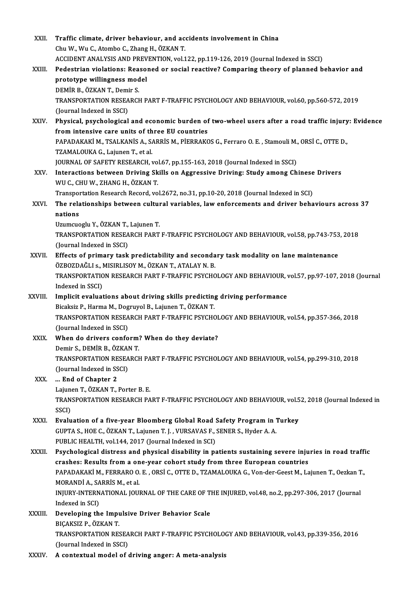| XXII.         | Traffic climate, driver behaviour, and accidents involvement in China                                   |
|---------------|---------------------------------------------------------------------------------------------------------|
|               | Chu W., Wu C., Atombo C., Zhang H., ÖZKAN T.                                                            |
|               | ACCIDENT ANALYSIS AND PREVENTION, vol.122, pp.119-126, 2019 (Journal Indexed in SSCI)                   |
| XXIII.        | Pedestrian violations: Reasoned or social reactive? Comparing theory of planned behavior and            |
|               | prototype willingness model                                                                             |
|               | DEMİR B., ÖZKAN T., Demir S.                                                                            |
|               | TRANSPORTATION RESEARCH PART F-TRAFFIC PSYCHOLOGY AND BEHAVIOUR, vol.60, pp.560-572, 2019               |
|               | (Journal Indexed in SSCI)                                                                               |
| XXIV.         | Physical, psychological and economic burden of two-wheel users after a road traffic injury: Evidence    |
|               | from intensive care units of three EU countries                                                         |
|               | PAPADAKAKİ M., TSALKANİS A., SARRİS M., PİERRAKOS G., Ferraro O. E., Stamouli M., ORSİ C., OTTE D.,     |
|               | TZAMALOUKA G., Lajunen T., et al.                                                                       |
|               | JOURNAL OF SAFETY RESEARCH, vol.67, pp.155-163, 2018 (Journal Indexed in SSCI)                          |
| XXV .         | Interactions between Driving Skills on Aggressive Driving: Study among Chinese Drivers                  |
|               | WU C., CHU W., ZHANG H., ÖZKAN T.                                                                       |
|               | Transportation Research Record, vol.2672, no.31, pp.10-20, 2018 (Journal Indexed in SCI)                |
| XXVI.         | The relationships between cultural variables, law enforcements and driver behaviours across 37          |
|               | nations                                                                                                 |
|               | Uzumcuoglu Y., ÖZKAN T., Lajunen T.                                                                     |
|               | TRANSPORTATION RESEARCH PART F-TRAFFIC PSYCHOLOGY AND BEHAVIOUR, vol.58, pp.743-753, 2018               |
|               | (Journal Indexed in SSCI)                                                                               |
| XXVII.        | Effects of primary task predictability and secondary task modality on lane maintenance                  |
|               | ÖZBOZDAĞLI s., MISIRLISOY M., ÖZKAN T., ATALAY N. B.                                                    |
|               | TRANSPORTATION RESEARCH PART F-TRAFFIC PSYCHOLOGY AND BEHAVIOUR, vol.57, pp.97-107, 2018 (Journal       |
|               | Indexed in SSCI)                                                                                        |
| <b>XXVIII</b> | Implicit evaluations about driving skills predicting driving performance                                |
|               | Bicaksiz P., Harma M., Dogruyol B., Lajunen T., ÖZKAN T.                                                |
|               | TRANSPORTATION RESEARCH PART F-TRAFFIC PSYCHOLOGY AND BEHAVIOUR, vol.54, pp.357-366, 2018               |
|               | (Journal Indexed in SSCI)                                                                               |
| XXIX.         | When do drivers conform? When do they deviate?                                                          |
|               | Demir S., DEMİR B., ÖZKAN T.                                                                            |
|               | TRANSPORTATION RESEARCH PART F-TRAFFIC PSYCHOLOGY AND BEHAVIOUR, vol.54, pp.299-310, 2018               |
|               | (Journal Indexed in SSCI)                                                                               |
| XXX.          | End of Chapter 2                                                                                        |
|               | Lajunen T., ÖZKAN T., Porter B. E.                                                                      |
|               | TRANSPORTATION RESEARCH PART F-TRAFFIC PSYCHOLOGY AND BEHAVIOUR, vol.52, 2018 (Journal Indexed in       |
|               | SSCI)                                                                                                   |
| XXXI.         | Evaluation of a five-year Bloomberg Global Road Safety Program in Turkey                                |
|               | GUPTA S., HOE C., ÖZKAN T., Lajunen T. J., VURSAVAS F., SENER S., Hyder A. A.                           |
|               | PUBLIC HEALTH, vol.144, 2017 (Journal Indexed in SCI)                                                   |
| XXXII.        | Psychological distress and physical disability in patients sustaining severe injuries in road traffic   |
|               | crashes: Results from a one-year cohort study from three European countries                             |
|               | PAPADAKAKİ M., FERRARO O. E., ORSİ C., OTTE D., TZAMALOUKA G., Von-der-Geest M., Lajunen T., Oezkan T., |
|               | MORANDI A., SARRIS M., et al.                                                                           |
|               | INJURY-INTERNATIONAL JOURNAL OF THE CARE OF THE INJURED, vol.48, no.2, pp.297-306, 2017 (Journal        |
|               | Indexed in SCI)                                                                                         |
| XXXIII.       | Developing the Impulsive Driver Behavior Scale                                                          |
|               | BIÇAKSIZ P., ÖZKAN T.                                                                                   |
|               | TRANSPORTATION RESEARCH PART F-TRAFFIC PSYCHOLOGY AND BEHAVIOUR, vol.43, pp.339-356, 2016               |
|               | (Journal Indexed in SSCI)                                                                               |
| XXXIV.        | A contextual model of driving anger: A meta-analysis                                                    |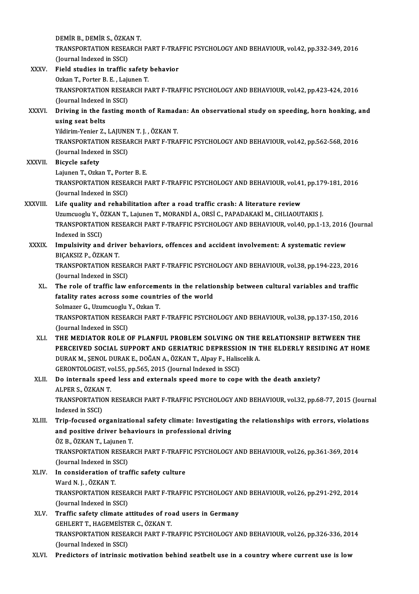DEMİRB.,DEMİRS.,ÖZKANT. DEMİR B., DEMİR S., ÖZKAN T.<br>TRANSPORTATION RESEARCH PART F-TRAFFIC PSYCHOLOGY AND BEHAVIOUR, vol.42, pp.332-349, 2016<br>(Jaunnal Indoved in SSCL) DEMİR B., DEMİR S., ÖZKA<br>TRANSPORTATION RESEA<br>(Journal Indexed in SSCI)<br>Field studies in traffis TRANSPORTATION RESEARCH PART F-TRAI<br>(Journal Indexed in SSCI)<br>XXXV. Field studies in traffic safety behavior (Journal Indexed in SSCI)<br>Field studies in traffic safety<br>Ozkan T., Porter B. E. , Lajunen T.<br>TRANSPORTATION RESEARCH R. Field studies in traffic safety behavior<br>Ozkan T., Porter B. E. , Lajunen T.<br>TRANSPORTATION RESEARCH PART F-TRAFFIC PSYCHOLOGY AND BEHAVIOUR, vol.42, pp.423-424, 2016<br>(Journal Indoved in SSCL) Ozkan T., Porter B. E. , Laj<br>TRANSPORTATION RESEA<br>(Journal Indexed in SSCI)<br>Driving in the fecting r TRANSPORTATION RESEARCH PART F-TRAFFIC PSYCHOLOGY AND BEHAVIOUR, vol.42, pp.423-424, 2016<br>(Journal Indexed in SSCI)<br>XXXVI. Driving in the fasting month of Ramadan: An observational study on speeding, horn honking, and<br>usin (Journal Indexed in SSCI)<br>Driving in the fasting month of Ramadan: An observational study on speeding, horn honking, and<br>using seat belts Driving in the fasting month of Ramad<br>using seat belts<br>Yildirim-Yenier Z., LAJUNEN T. J. , ÖZKAN T.<br>TRANSPORTATION RESEARCH RART E TRA using seat belts<br>Yildirim-Yenier Z., LAJUNEN T. J. , ÖZKAN T.<br>TRANSPORTATION RESEARCH PART F-TRAFFIC PSYCHOLOGY AND BEHAVIOUR, vol.42, pp.562-568, 2016<br>(Journal Indoved in SSCL) Yildirim-Yenier Z., LAJUNE<br>TRANSPORTATION RESEA<br>(Journal Indexed in SSCI)<br>Piavale asfaty TRANSPORTATI<br>(Journal Indexen)<br>XXXVII. Bicycle safety (Journal Indexed in SSCI)<br>Bicycle safety<br>Lajunen T., Ozkan T., Porter B. E. Bicycle safety<br>Lajunen T., Ozkan T., Porter B. E.<br>TRANSPORTATION RESEARCH PART F-TRAFFIC PSYCHOLOGY AND BEHAVIOUR, vol.41, pp.179-181, 2016<br>(Jaurnal Indoved in SSCL) Lajunen T., Ozkan T., Porte<br>TRANSPORTATION RESEA<br>(Journal Indexed in SSCI)<br>Life quality and rababi TRANSPORTATION RESEARCH PART F-TRAFFIC PSYCHOLOGY AND BEHAVIOUR, vol.41<br>(Journal Indexed in SSCI)<br>XXXVIII. Life quality and rehabilitation after a road traffic crash: A literature review<br>Hermanoch: Y. ÖZKAN T. Leiman T. MO (Journal Indexed in SSCI)<br>Life quality and rehabilitation after a road traffic crash: A literature review<br>Uzumcuoglu Y., ÖZKAN T., Lajunen T., MORANDİ A., ORSİ C., PAPADAKAKİ M., CHLIAOUTAKIS J.<br>TRANSPORTATION RESEARCH RAR Life quality and rehabilitation after a road traffic crash: A literature review<br>Uzumcuoglu Y., ÖZKAN T., Lajunen T., MORANDİ A., ORSİ C., PAPADAKAKİ M., CHLIAOUTAKIS J.<br>TRANSPORTATION RESEARCH PART F-TRAFFIC PSYCHOLOGY AND Uzumcuoglu Y., Ö<br>TRANSPORTATIC<br>Indexed in SSCI)<br>Impulsivity and TRANSPORTATION RESEARCH PART F-TRAFFIC PSYCHOLOGY AND BEHAVIOUR, vol.40, pp.1-13, 2016<br>Indexed in SSCI)<br>XXXIX. Impulsivity and driver behaviors, offences and accident involvement: A systematic review<br>PICAKSIZ B ÖZKAN T Indexed in SSCI)<br>Impulsivity and driv<br>BIÇAKSIZ P., ÖZKAN T.<br>TPANSPOPTATION PES Impulsivity and driver behaviors, offences and accident involvement: A systematic review<br>BIÇAKSIZ P., ÖZKAN T.<br>TRANSPORTATION RESEARCH PART F-TRAFFIC PSYCHOLOGY AND BEHAVIOUR, vol.38, pp.194-223, 2016<br>(Journal Indoved in S BIÇAKSIZ P., ÖZKAN T.<br>TRANSPORTATION RESEARCH PART F-TRAFFIC PSYCHOLOGY AND BEHAVIOUR, vol.38, pp.194-223, 2016<br>(Journal Indexed in SSCI) TRANSPORTATION RESEARCH PART F-TRAFFIC PSYCHOLOGY AND BEHAVIOUR, vol.38, pp.194-223, 2016<br>(Journal Indexed in SSCI)<br>XL. The role of traffic law enforcements in the relationship between cultural variables and traffic<br>fatali (Journal Indexed in SSCI)<br>The role of traffic law enforcements in the relation<br>fatality rates across some countries of the world The role of traffic law enforceme<br>fatality rates across some countr<br>Solmazer G., Uzumcuoglu Y., Ozkan T.<br>TRANSPORTATION RESEARCH RART fatality rates across some countries of the world<br>Solmazer G., Uzumcuoglu Y., Ozkan T.<br>TRANSPORTATION RESEARCH PART F-TRAFFIC PSYCHOLOGY AND BEHAVIOUR, vol.38, pp.137-150, 2016<br>(Journal Indexed in SSCI) Solmazer G., Uzumcuoglu<br>TRANSPORTATION RESEA<br>(Journal Indexed in SSCI)<br>THE MEDIATOR ROLE C XLI. THEMEDIATOR ROLE OF PLANFUL PROBLEMSOLVING ON THE RELATIONSHIP BETWEEN THE PERCEIVED SOCIAL SUPPORT AND GERIATRIC DEPRESSION IN THE ELDERLY RESIDING AT HOME THE MEDIATOR ROLE OF PLANFUL PROBLEM SOLVING ON THE<br>PERCEIVED SOCIAL SUPPORT AND GERIATRIC DEPRESSION IN 1<br>DURAK M., ŞENOL DURAK E., DOĞAN A., ÖZKAN T., Alpay F., Haliscelik A.<br>CERONTOLOCIST vel EE-nn EEE-2015 (Journal Ind PERCEIVED SOCIAL SUPPORT AND GERIATRIC DEPRESSIO<br>DURAK M., ŞENOL DURAK E., DOĞAN A., ÖZKAN T., Alpay F., Halise<br>GERONTOLOGIST, vol.55, pp.565, 2015 (Journal Indexed in SSCI)<br>De internals speed less and externals speed mane XLII. Do internals speed less and externals speed more to cope with the death anxiety? GERONTOLOGIST, vol.55, pp.565, 2015 (Journal Indexed in SSCI) TRANSPORTATION RESEARCH PART F-TRAFFIC PSYCHOLOGY AND BEHAVIOUR, vol.32, pp.68-77, 2015 (Journal Indexed in SSCI) ALPER S., ÖZKAN T. TRANSPORTATION RESEARCH PART F-TRAFFIC PSYCHOLOGY AND BEHAVIOUR, vol.32, pp.68-77, 2015 (Journ<br>Indexed in SSCI)<br>XLIII. Trip-focused organizational safety climate: Investigating the relationships with errors, violations<br>and Indexed in SSCI)<br>Trip-focused organizational safety climate: Investigatin<br>and positive driver behaviours in professional driving<br>ÖZ P. ÖZKAN T. Lajunen T. Trip-focused organizatio<br>and positive driver beha<br>ÖZ B., ÖZKAN T., Lajunen T.<br>TPANSPOPTATION PESEAP and positive driver behaviours in professional driving<br>ÖZ B., ÖZKAN T., Lajunen T.<br>TRANSPORTATION RESEARCH PART F-TRAFFIC PSYCHOLOGY AND BEHAVIOUR, vol.26, pp.361-369, 2014<br>(Journal Indoved in SSCL) ÖZ B., ÖZKAN T., Lajunen<br>TRANSPORTATION RESEA<br>(Journal Indexed in SSCI)<br>In consideration of trai TRANSPORTATION RESEARCH PART F-TRAFF<br>(Journal Indexed in SSCI)<br>XLIV. In consideration of traffic safety culture<br>Word N.J. ÖZKAN T (Journal Indexed in S<br>In consideration of<br>Ward N. J. , ÖZKAN T.<br>TRANSPORTATION PI In consideration of traffic safety culture<br>Ward N. J. , ÖZKAN T.<br>TRANSPORTATION RESEARCH PART F-TRAFFIC PSYCHOLOGY AND BEHAVIOUR, vol.26, pp.291-292, 2014<br>(Jaurnal Indoved in SSCL) Ward N. J. , ÖZKAN T.<br>TRANSPORTATION RESEA<br>(Journal Indexed in SSCI)<br>Traffic safety elimate a TRANSPORTATION RESEARCH PART F-TRAFFIC PSYCHOLOGY AN<br>(Journal Indexed in SSCI)<br>XLV. Traffic safety climate attitudes of road users in Germany<br>CEHLEPT T. HACEMEISTER C. ÖZKAN T. (Journal Indexed in SSCI)<br>Traffic safety climate attitudes of ro:<br>GEHLERT T., HAGEMEİSTER C., ÖZKAN T.<br>TRANSPORTATION RESEARCH RART E TI TRANSPORTATION RESEARCH PART F-TRAFFIC PSYCHOLOGY AND BEHAVIOUR, vol.26, pp.326-336, 2014<br>(Journal Indexed in SSCI) GEHLERT T., HAGEMEISTER C., ÖZKAN T.

XLVI. Predictors of intrinsic motivation behind seatbelt use in a country where current use is low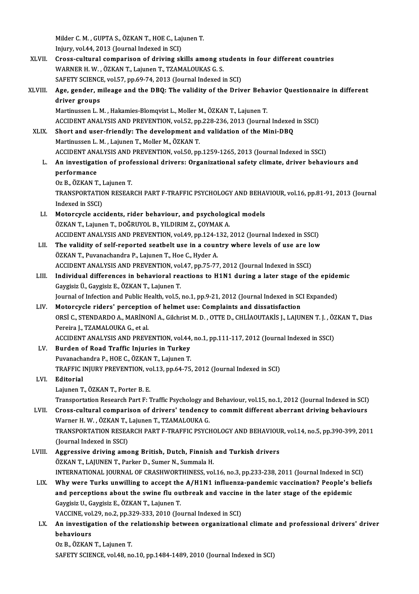Milder C. M. , GUPTA S., ÖZKAN T., HOE C., Lajunen T.<br>Iniumy vol 44, 2012 (Jaunnal Indoved in SCD) Milder C. M. , GUPTA S., ÖZKAN T., HOE C., Laj<br>Injury, vol.44, 2013 (Journal Indexed in SCI)<br>Cross, sultural comporison of driving al

Milder C. M. , GUPTA S., ÖZKAN T., HOE C., Lajunen T.<br>Injury, vol.44, 2013 (Journal Indexed in SCI)<br>XLVII. Cross-cultural comparison of driving skills among students in four different countries<br>WARNER H. W. ÖZKAN T. LOURAR Injury, vol.44, 2013 (Journal Indexed in SCI)<br>Cross-cultural comparison of driving skills among st<br>WARNER H. W. , ÖZKAN T., Lajunen T., TZAMALOUKAS G. S.<br>SAEETY SCIENCE vol.57, pp.60,74, 2012 (Journal Indoved i Cross-cultural comparison of driving skills among student<br>WARNER H. W., ÖZKAN T., Lajunen T., TZAMALOUKAS G. S.<br>SAFETY SCIENCE, vol.57, pp.69-74, 2013 (Journal Indexed in SCI)<br>Age\_gender\_mileage\_and\_the\_DBO;\_The\_volidity\_o WARNER H. W., ÖZKAN T., Lajunen T., TZAMALOUKAS G. S.<br>SAFETY SCIENCE, vol.57, pp.69-74, 2013 (Journal Indexed in SCI)<br>XLVIII. Age, gender, mileage and the DBQ: The validity of the Driver Behavior Questionnaire in different

## SAFETY SCIENCE, vol.57, pp.69-74, 2013 (Journal Indexed in SCI)<br>Age, gender, mileage and the DBQ: The validity of the Driver Beha<br>driver groups<br>Martinussen L. M., Hakamies-Blomqvist L., Moller M., ÖZKAN T., Lajunen T. Age, gender, mileage and the DBQ: The validity of the Driver Beha<br>driver groups<br>Martinussen L. M. , Hakamies-Blomqvist L., Moller M., ÖZKAN T., Lajunen T.<br>ACCIDENT ANALYSIS AND PREVENTION VOLE2, PR 229, 226, 2012 (Journa driver groups<br>Martinussen L. M. , Hakamies-Blomqvist L., Moller M., ÖZKAN T., Lajunen T.<br>ACCIDENT ANALYSIS AND PREVENTION, vol.52, pp.228-236, 2013 (Journal Indexed in SSCI)<br>Shert and user friendly: The develemment and vel

XLIX. Short and user-friendly: The development and validation of the Mini-DBQ<br>Martinussen L. M., Lajunen T., Moller M., ÖZKAN T. ACCIDENT ANALYSIS AND PREVENTION, vol.52, pp<br>Short and user-friendly: The development an<br>Martinussen L. M. , Lajunen T., Moller M., ÖZKAN T.<br>ACCIDENT ANALYSIS AND PREVENTION vol.50, pp ACCIDENTANALYSISANDPREVENTION,vol.50,pp.1259-1265,2013 (Journal Indexed inSSCI)

Martinussen L. M. , Lajunen T., Moller M., ÖZKAN T.<br>ACCIDENT ANALYSIS AND PREVENTION, vol.50, pp.1259-1265, 2013 (Journal Indexed in SSCI)<br>L. An investigation of professional drivers: Organizational safety climate, driver ACCIDENT ANA<br><mark>An investigati</mark><br>performance<br><sup>Oz B.</sub> ÖZKAN T</sup> **An investigation of prof<br>performance<br>Oz B., ÖZKAN T., Lajunen T.<br>TRANSPORTATION BESEAR** 

performance<br>Oz B., ÖZKAN T., Lajunen T.<br>TRANSPORTATION RESEARCH PART F-TRAFFIC PSYCHOLOGY AND BEHAVIOUR, vol.16, pp.81-91, 2013 (Journal Oz B., ÖZKAN T., I<br>TRANSPORTATIC<br>Indexed in SSCI)<br>Matarevela acc TRANSPORTATION RESEARCH PART F-TRAFFIC PSYCHOLOGY AND BEHA<br>Indexed in SSCI)<br>LI. Motorcycle accidents, rider behaviour, and psychological models<br>ÖZKAN T. Leivnen T. DOČPIIVOL P. VII DIPIM Z. COVMAKA

- Indexed in SSCI)<br>LI. Motorcycle accidents, rider behaviour, and psychological models<br>ÖZKAN T., Lajunen T., DOĞRUYOL B., YILDIRIM Z., ÇOYMAK A. Motorcycle accidents, rider behaviour, and psychological models<br>ÖZKAN T., Lajunen T., DOĞRUYOL B., YILDIRIM Z., ÇOYMAK A.<br>ACCIDENT ANALYSIS AND PREVENTION, vol.49, pp.124-132, 2012 (Journal Indexed in SSCI)<br>The validity of ÖZKAN T., Lajunen T., DOĞRUYOL B., YILDIRIM Z., ÇOYMAK A.<br>ACCIDENT ANALYSIS AND PREVENTION, vol.49, pp.124-132, 2012 (Journal Indexed in SSCI)<br>LII. The validity of self-reported seatbelt use in a country where levels of us
- ACCIDENT ANALYSIS AND PREVENTION, vol.49, pp.124-1<br>The validity of self-reported seatbelt use in a coun<br>ÖZKAN T., Puvanachandra P., Lajunen T., Hoe C., Hyder A.<br>ACCIDENT ANALYSIS AND PREVENTION vol.47, pp.75,77 The validity of self-reported seatbelt use in a country where levels of use are lo<br>ÖZKAN T., Puvanachandra P., Lajunen T., Hoe C., Hyder A.<br>ACCIDENT ANALYSIS AND PREVENTION, vol.47, pp.75-77, 2012 (Journal Indexed in SSCI) ÖZKAN T., Puvanachandra P., Lajunen T., Hoe C., Hyder A.<br>ACCIDENT ANALYSIS AND PREVENTION, vol.47, pp.75-77, 2012 (Journal Indexed in SSCI)<br>LIII. Individual differences in behavioral reactions to H1N1 during a later stage
- ACCIDENT ANALYSIS AND PREVENTION, vol<br>Individual differences in behavioral read<br>Gaygisiz Ü., Gaygisiz E., ÖZKAN T., Lajunen T.<br>Journal of Infection and Public Health vol E. Individual differences in behavioral reactions to H1N1 during a later stage of the epide<br>Gaygisiz Ü., Gaygisiz E., ÖZKAN T., Lajunen T.<br>Journal of Infection and Public Health, vol.5, no.1, pp.9-21, 2012 (Journal Indexed in Gaygisiz Ü., Gaygisiz E., ÖZKAN T., Lajunen T.<br>Journal of Infection and Public Health, vol.5, no.1, pp.9-21, 2012 (Journal Indexed in SCI Expanded)<br>LIV. Motorcycle riders' perception of helmet use: Complaints and dissatisf
- Journal of Infection and Public Health, vol.5, no.1, pp.9-21, 2012 (Journal Indexed in SCI Expanded)<br>Motorcycle riders' perception of helmet use: Complaints and dissatisfaction<br>ORSİ C., STENDARDO A., MARİNONİ A., Gilchrist Pereira J., TZAMALOUKA G., et al. ORSİ C., STENDARDO A., MARİNONİ A., Gilchrist M. D. , OTTE D., CHLİAOUTAKİS J., LAJUNEN T. J. , ÖZ<br>Pereira J., TZAMALOUKA G., et al.<br>ACCIDENT ANALYSIS AND PREVENTION, vol.44, no.1, pp.111-117, 2012 (Journal Indexed in SSCI ACCIDENT ANALYSIS AND PREVENTION, vol.44, no.1, pp.111-117, 2012 (Journal Indexed in SSCI)
- LV. Burden of Road Traffic Injuries in Turkey<br>Puvanachandra P., HOE C., ÖZKAN T., Lajunen T. TRAFFIC INJURY PREVENTION, vol.13, pp.64-75, 2012 (Journal Indexed in SCI)
- LVI. Editorial Lajunen T., ÖZKAN T., Porter B. E.

Transportation Research Part F: Traffic Psychology and Behaviour, vol.15, no.1, 2012 (Journal Indexed in SCI)

LVII. Cross-cultural comparison of drivers' tendency to commit different aberrant driving behaviours Warner H.W., ÖZKAN T., Lajunen T., TZAMALOUKA G. Cross-cultural comparison of drivers' tendency to commit different aberrant driving behaviours<br>Warner H. W. , ÖZKAN T., Lajunen T., TZAMALOUKA G.<br>TRANSPORTATION RESEARCH PART F-TRAFFIC PSYCHOLOGY AND BEHAVIOUR, vol.14, no. Warner H. W. , ÖZKAN T., J<br>TRANSPORTATION RESEA<br>(Journal Indexed in SSCI)<br>Aggressive driving ame TRANSPORTATION RESEARCH PART F-TRAFFIC PSYCHOLOGY AND BEHAVIOU.<br>(Journal Indexed in SSCI)<br>LVIII. Aggressive driving among British, Dutch, Finnish and Turkish drivers<br>(GZKAN T. LAUINEN T. Barker D. Sumar N. Summala H

- (Journal Indexed in SSCI)<br>Aggressive driving among British, Dutch, Finnish and Turkish drivers<br>ÖZKAN T., LAJUNEN T., Parker D., Sumer N., Summala H. Aggressive driving among British, Dutch, Finnish and Turkish drivers<br>ÖZKAN T., LAJUNEN T., Parker D., Sumer N., Summala H.<br>INTERNATIONAL JOURNAL OF CRASHWORTHINESS, vol.16, no.3, pp.233-238, 2011 (Journal Indexed in SCI)<br>W ÖZKAN T., LAJUNEN T., Parker D., Sumer N., Summala H.<br>INTERNATIONAL JOURNAL OF CRASHWORTHINESS, vol.16, no.3, pp.233-238, 2011 (Journal Indexed in SCI)<br>LIX. Why were Turks unwilling to accept the A/H1N1 influenza-pandemic
- INTERNATIONAL JOURNAL OF CRASHWORTHINESS, vol.16, no.3, pp.233-238, 2011 (Journal Indexed in S<br>Why were Turks unwilling to accept the A/H1N1 influenza-pandemic vaccination? People's b<br>and perceptions about the swine flu ou Why were Turks unwilling to accept the<br>and perceptions about the swine flu ou<br>Gaygisiz U., Gaygisiz E., ÖZKAN T., Lajunen T. and perceptions about the swine flu outbreak and vaccine in the later stage of the epidemic<br>Gaygisiz U., Gaygisiz E., ÖZKAN T., Lajunen T.<br>VACCINE, vol.29, no.2, pp.329-333, 2010 (Journal Indexed in SCI)

Gaygisiz U., Gaygisiz E., ÖZKAN T., Lajunen T.<br>VACCINE, vol.29, no.2, pp.329-333, 2010 (Journal Indexed in SCI)<br>LX. An investigation of the relationship between organizational climate and professional drivers' driver VACCINE, vol<br><mark>An investiga</mark><br>behaviours<br>Oz B. ÖZKAN **An investigation of the r<br>behaviours<br>Oz B., ÖZKAN T., Lajunen T.<br>SAEETV SCIENCE vel 48 no** 

behaviours<br>Oz B., ÖZKAN T., Lajunen T.<br>SAFETY SCIENCE, vol.48, no.10, pp.1484-1489, 2010 (Journal Indexed in SCI)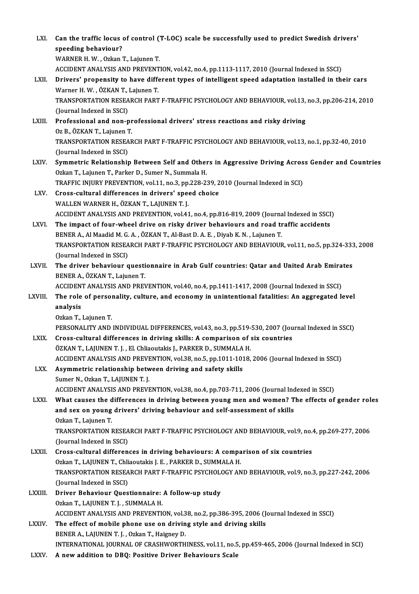| LXI.         | Can the traffic locus of control (T-LOC) scale be successfully used to predict Swedish drivers'<br>speeding behaviour?                             |
|--------------|----------------------------------------------------------------------------------------------------------------------------------------------------|
|              | WARNER H. W., Ozkan T., Lajunen T.                                                                                                                 |
|              | ACCIDENT ANALYSIS AND PREVENTION, vol.42, no.4, pp.1113-1117, 2010 (Journal Indexed in SSCI)                                                       |
| LXII.        | Drivers' propensity to have different types of intelligent speed adaptation installed in their cars                                                |
|              | Warner H. W., ÖZKAN T., Lajunen T.                                                                                                                 |
|              | TRANSPORTATION RESEARCH PART F-TRAFFIC PSYCHOLOGY AND BEHAVIOUR, vol.13, no.3, pp.206-214, 2010                                                    |
|              | (Journal Indexed in SSCI)                                                                                                                          |
| LXIII.       | Professional and non-professional drivers' stress reactions and risky driving                                                                      |
|              | Oz B., ÖZKAN T., Lajunen T.                                                                                                                        |
|              | TRANSPORTATION RESEARCH PART F-TRAFFIC PSYCHOLOGY AND BEHAVIOUR, vol.13, no.1, pp.32-40, 2010                                                      |
|              | (Journal Indexed in SSCI)                                                                                                                          |
| LXIV.        | Symmetric Relationship Between Self and Others in Aggressive Driving Across Gender and Countries                                                   |
|              | Ozkan T., Lajunen T., Parker D., Sumer N., Summala H.<br>TRAFFIC INJURY PREVENTION, vol.11, no.3, pp.228-239, 2010 (Journal Indexed in SCI)        |
| LXV.         | Cross-cultural differences in drivers' speed choice                                                                                                |
|              | WALLEN WARNER H., ÖZKAN T., LAJUNEN T. J.                                                                                                          |
|              | ACCIDENT ANALYSIS AND PREVENTION, vol.41, no.4, pp.816-819, 2009 (Journal Indexed in SSCI)                                                         |
| LXVI.        | The impact of four-wheel drive on risky driver behaviours and road traffic accidents                                                               |
|              | BENER A., Al Maadid M. G. A., ÖZKAN T., Al-Bast D. A. E., Diyab K. N., Lajunen T.                                                                  |
|              | TRANSPORTATION RESEARCH PART F-TRAFFIC PSYCHOLOGY AND BEHAVIOUR, vol.11, no.5, pp.324-333, 2008                                                    |
|              | (Journal Indexed in SSCI)                                                                                                                          |
| LXVII.       | The driver behaviour questionnaire in Arab Gulf countries: Qatar and United Arab Emirates                                                          |
|              | BENER A., ÖZKAN T., Lajunen T.                                                                                                                     |
|              | ACCIDENT ANALYSIS AND PREVENTION, vol.40, no.4, pp.1411-1417, 2008 (Journal Indexed in SSCI)                                                       |
| LXVIII.      | The role of personality, culture, and economy in unintentional fatalities: An aggregated level                                                     |
|              | analysis                                                                                                                                           |
|              | Ozkan T., Lajunen T.                                                                                                                               |
|              | PERSONALITY AND INDIVIDUAL DIFFERENCES, vol.43, no.3, pp.519-530, 2007 (Journal Indexed in SSCI)                                                   |
| <b>LXIX</b>  | Cross-cultural differences in driving skills: A comparison of six countries<br>ÖZKAN T., LAJUNEN T. J., El. Chliaoutakis J., PARKER D., SUMMALA H. |
|              | ACCIDENT ANALYSIS AND PREVENTION, vol.38, no.5, pp.1011-1018, 2006 (Journal Indexed in SSCI)                                                       |
| LXX.         | Asymmetric relationship between driving and safety skills                                                                                          |
|              | Sumer N., Ozkan T., LAJUNEN T. J.                                                                                                                  |
|              | ACCIDENT ANALYSIS AND PREVENTION, vol.38, no.4, pp.703-711, 2006 (Journal Indexed in SSCI)                                                         |
| LXXI.        | What causes the differences in driving between young men and women? The effects of gender roles                                                    |
|              | and sex on young drivers' driving behaviour and self-assessment of skills                                                                          |
|              | Ozkan T, Lajunen T.                                                                                                                                |
|              | TRANSPORTATION RESEARCH PART F-TRAFFIC PSYCHOLOGY AND BEHAVIOUR, vol.9, no.4, pp.269-277, 2006                                                     |
|              | (Journal Indexed in SSCI)                                                                                                                          |
| <b>LXXII</b> | Cross-cultural differences in driving behaviours: A comparison of six countries                                                                    |
|              | Ozkan T., LAJUNEN T., Chliaoutakis J. E., PARKER D., SUMMALA H.                                                                                    |
|              | TRANSPORTATION RESEARCH PART F-TRAFFIC PSYCHOLOGY AND BEHAVIOUR, vol 9, no.3, pp.227-242, 2006                                                     |
|              | (Journal Indexed in SSCI)                                                                                                                          |
| LXXIII.      | Driver Behaviour Questionnaire: A follow-up study                                                                                                  |
|              | Ozkan T., LAJUNEN T. J., SUMMALA H.<br>ACCIDENT ANALYSIS AND PREVENTION, vol.38, no.2, pp.386-395, 2006 (Journal Indexed in SSCI)                  |
| <b>LXXIV</b> | The effect of mobile phone use on driving style and driving skills                                                                                 |
|              | BENER A., LAJUNEN T. J., Ozkan T., Haigney D.                                                                                                      |
|              | INTERNATIONAL JOURNAL OF CRASHWORTHINESS, vol.11, no.5, pp.459-465, 2006 (Journal Indexed in SCI)                                                  |
| LXXV.        | A new addition to DBQ: Positive Driver Behaviours Scale                                                                                            |
|              |                                                                                                                                                    |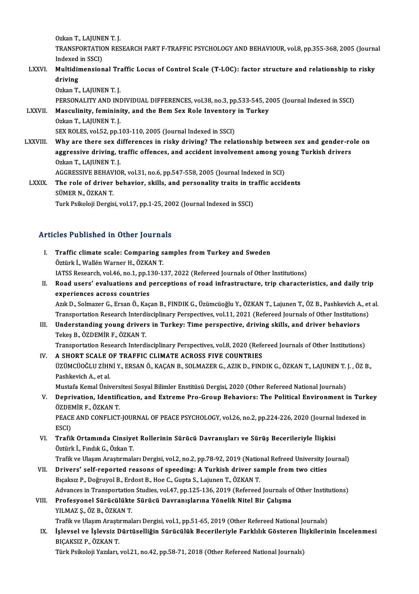Ozkan T., LAJUNEN T. J. Ozkan T., LAJUNEN T. J.<br>TRANSPORTATION RESEARCH PART F-TRAFFIC PSYCHOLOGY AND BEHAVIOUR, vol.8, pp.355-368, 2005 (Journal Ozkan T., LAJUNE<br>TRANSPORTATIC<br>Indexed in SSCI)<br>Multidimension

TRANSPORTATION RESEARCH PART F-TRAFFIC PSYCHOLOGY AND BEHAVIOUR, vol.8, pp.355-368, 2005 (Journa<br>Indexed in SSCI)<br>LXXVI. Multidimensional Traffic Locus of Control Scale (T-LOC): factor structure and relationship to risky<br>A Indexed<br>Multidir<br>driving<br>Ozkan T Multidimensional Tra<br>driving<br>Ozkan T., LAJUNEN T. J.<br>PERSONALITY AND INI driving<br>Ozkan T., LAJUNEN T. J.<br>PERSONALITY AND INDIVIDUAL DIFFERENCES, vol.38, no.3, pp.533-545, 2005 (Journal Indexed in SSCI)<br>Masculinity, fomininity, and the Bom Sox Bole Inventory in Turkey

Ozkan T., LAJUNEN T. J.<br>PERSONALITY AND INDIVIDUAL DIFFERENCES, vol.38, no.3, pp.533-545, 2transferences and the Bem Sex Role Inventory in Turkey<br>Ozkan T., LAJUNEN T. J. **PERSONALITY AND INI<br>Masculinity, feminini<br>Ozkan T., LAJUNEN T. J.<br>SEV POLES, vol 52, nn 1** 

SEX ROLES, vol.52, pp.103-110, 2005 (Journal Indexed in SSCI)

Ozkan T., LAJUNEN T. J.<br>SEX ROLES, vol.52, pp.103-110, 2005 (Journal Indexed in SSCI)<br>LXXVIII. Why are there sex differences in risky driving? The relationship between sex and gender-role on<br>aggregative driving traffic off SEX ROLES, vol.52, pp.103-110, 2005 (Journal Indexed in SSCI)<br>Why are there sex differences in risky driving? The relationship between sex and gender-ro<br>aggressive driving, traffic offences, and accident involvement among aggressive driving, traffic offences, and accident involvement among young Turkish drivers<br>Ozkan T., LAJUNEN T. J. aggressive driving, traffic offences, and accident involvement among yo<br>Ozkan T., LAJUNEN T. J.<br>AGGRESSIVE BEHAVIOR, vol.31, no.6, pp.547-558, 2005 (Journal Indexed in SCI)<br>The role of driver behavior, ckills, and personal

Ozkan T., LAJUNEN T. J.<br>AGGRESSIVE BEHAVIOR, vol.31, no.6, pp.547-558, 2005 (Journal Indexed in SCI)<br>LXXIX. The role of driver behavior, skills, and personality traits in traffic accidents<br>SUMER N. ÖZKAN T. AGGRESSIVE BEHAV<br>The role of driver<br>SÜMER N., ÖZKAN T.<br>Turk Beikeleii Dergie The role of driver behavior, skills, and personality traits in traffic accidents<br>SÜMER N., ÖZKAN T.<br>Turk Psikoloji Dergisi, vol.17, pp.1-25, 2002 (Journal Indexed in SSCI)

#### Articles Published in Other Journals

I. Traffic climate scale: Comparing samples from Turkey and Sweden Öztürk İ., Wallén Warner H., ÖZKAN T. Traffic climate scale: Comparing samples from Turkey and Sweden<br>Öztürk İ., Wallén Warner H., ÖZKAN T.<br>IATSS Research, vol.46, no.1, pp.130-137, 2022 (Refereed Journals of Other Institutions)<br>Boad users' evaluations and per II. Road users' evaluations and perceptions of road infrastructure, trip characteristics, and daily trip experiences across countries IATSS Research, vol.46, no.1, pp.1<br>Road users' evaluations and p<br>experiences across countries Road users' evaluations and perceptions of road infrastructure, trip characteristics, and daily trip<br>experiences across countries<br>Azık D., Solmazer G., Ersan Ö., Kaçan B., FINDIK G., Üzümcüoğlu Y., ÖZKAN T., Lajunen T., ÖZ experiences across countries<br>Azık D., Solmazer G., Ersan Ö., Kaçan B., FINDIK G., Üzümcüoğlu Y., ÖZKAN T., Lajunen T., ÖZ B., Pashkevich A., et<br>Transportation Research Interdisciplinary Perspectives, vol.11, 2021 (Refereed Transportation Research Interdisciplinary Perspectives, vol.11, 2021 (Refereed Journals of Other Institutions)<br>III. Understanding young drivers in Turkey: Time perspective, driving skills, and driver behaviors TekeşB.,ÖZDEMİRF.,ÖZKANT. Transportation Research Interdisciplinary Perspectives, vol.8, 2020 (Refereed Journals of Other Institutions) Tekeş B., ÖZDEMİR F., ÖZKAN T.<br>Transportation Research Interdisciplinary Perspectives, vol.8, 2020 (Refe<br>IV. A SHORT SCALE OF TRAFFIC CLIMATE ACROSS FIVE COUNTRIES ÜZÜMCÜOĞLU ZİHNİ Y., ERSAN Ö., KAÇAN B., SOLMAZER G., AZIK D., FINDIK G., ÖZKAN T., LAJUNEN T. J. , ÖZ B.,<br>Pashkevich A.. et al. A SHORT SCALE C<br>ÜZÜMCÜOĞLU ZİHN<br>Pashkevich A., et al.<br>Mustafa Kamal Üni Mustafa Kemal Üniversitesi Sosyal Bilimler Enstitüsü Dergisi, 2020 (Other Refereed National Journals) Pashkevich A., et al.<br>Mustafa Kemal Üniversitesi Sosyal Bilimler Enstitüsü Dergisi, 2020 (Other Refereed National Journals)<br>V. Deprivation, Identification, and Extreme Pro-Group Behaviors: The Political Environment in Mustafa Kemal Ünivers<br><mark>Deprivation, Identifi</mark><br>ÖZDEMİR F., ÖZKAN T.<br>PEACE AND CONELICT Deprivation, Identification, and Extreme Pro-Group Behaviors: The Political Environment in Turk<br>ÖZDEMİR F., ÖZKAN T.<br>PEACE AND CONFLICT-JOURNAL OF PEACE PSYCHOLOGY, vol.26, no.2, pp.224-226, 2020 (Journal Indexed in<br>ESCD

ÖZDEMİR F., ÖZKAN T.<br>PEACE AND CONFLICT-JOURNAL OF PEACE PSYCHOLOGY, vol.26, no.2, pp.224-226, 2020 (Journal Indexed in<br>ESCI) PEACE AND CONFLICT-JOURNAL OF PEACE PSYCHOLOGY, vol.26, no.2, pp.224-226, 2020 (Journal :<br>ESCI)<br>VI. Trafik Ortamında Cinsiyet Rollerinin Sürücü Davranışları ve Sürüş Becerileriyle İlişkisi<br>Östürk İ. Endik C. Öskən T

ESCI)<br>Trafik Ortamında Cinsiye<br>Öztürk İ., Fındık G., Özkan T.<br>Trafik ve Hlasım Arastırmak

Öztürk İ., Fındık G., Özkan T.<br>Trafik ve Ulaşım Araştırmaları Dergisi, vol.2, no.2, pp.78-92, 2019 (National Refreed University Journal)

VII. Drivers' self-reported reasons of speeding: A Turkish driver sample from two cities Bıçaksız P., Doğruyol B., Erdost B., Hoe C., Gupta S., Lajunen T., ÖZKAN T. Drivers' self-reported reasons of speeding: A Turkish driver sample from two cities<br>Bıçaksız P., Doğruyol B., Erdost B., Hoe C., Gupta S., Lajunen T., ÖZKAN T.<br>Advances in Transportation Studies, vol.47, pp.125-136, 2019 ( Bıçaksız P., Doğruyol B., Erdost B., Hoe C., Gupta S., Lajunen T., ÖZKAN T.<br>Advances in Transportation Studies, vol.47, pp.125-136, 2019 (Refereed Journals of<br>VIII. Profesyonel Sürücülükte Sürücü Davranışlarına Yönelik Nit

## Advances in Transportation<br>Profesyonel Sürücülükte<br>YILMAZ Ş., ÖZ B., ÖZKAN T.<br>Trafik ve Ulasım Arastırmal Profesyonel Sürücülükte Sürücü Davranışlarına Yönelik Nitel Bir Çalışma<br>YILMAZ Ş., ÖZ B., ÖZKAN T.<br>Trafik ve Ulaşım Araştırmaları Dergisi, vol.1, pp.51-65, 2019 (Other Refereed National Journals)

YILMAZ Ş., ÖZ B., ÖZKAN T.<br>Trafik ve Ulaşım Araştırmaları Dergisi, vol.1, pp.51-65, 2019 (Other Refereed National Journals)<br>IX. İşlevsel ve İşlevsiz Dürtüselliğin Sürücülük Becerileriyle Farklılık Gösteren İlişkilerinin İn Trafik ve Ulaşım Araştı<br>İşlevsel ve İşlevsiz E<br>BIÇAKSIZ P., ÖZKAN T.<br>Türk Peikeleji Yarıları İşlevsel ve İşlevsiz Dürtüselliğin Sürücülük Becerileriyle Farklılık Gösteren İl:<br>BIÇAKSIZ P., ÖZKAN T.<br>Türk Psikoloji Yazıları, vol.21, no.42, pp.58-71, 2018 (Other Refereed National Journals)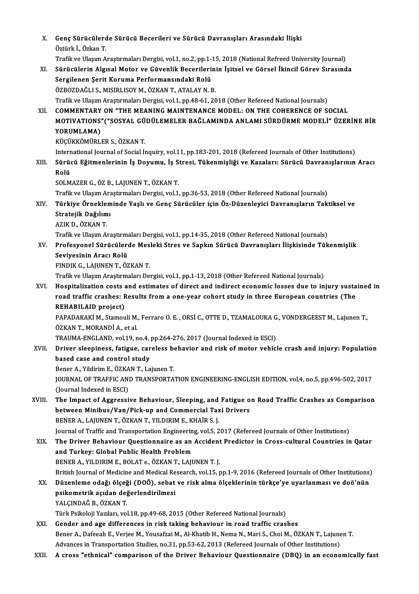|        | Genç Sürücülerde Sürücü Becerileri ve Sürücü Davranışları Arasındaki İlişki                                                             |
|--------|-----------------------------------------------------------------------------------------------------------------------------------------|
| X.     | Öztürk İ., Özkan T.                                                                                                                     |
|        | Trafik ve Ulaşım Araştırmaları Dergisi, vol.1, no.2, pp.1-15, 2018 (National Refreed University Journal)                                |
| XI.    | Sürücülerin Algısal Motor ve Güvenlik Becerilerinin İşitsel ve Görsel İkincil Görev Sırasında                                           |
|        | Sergilenen Şerit Koruma Performansındaki Rolü                                                                                           |
|        | ÖZBOZDAĞLI S., MISIRLISOY M., ÖZKAN T., ATALAY N. B.                                                                                    |
|        | Trafik ve Ulaşım Araştırmaları Dergisi, vol.1, pp.48-61, 2018 (Other Refereed National Journals)                                        |
| XII.   | COMMENTARY ON "THE MEANING MAINTENANCE MODEL: ON THE COHERENCE OF SOCIAL                                                                |
|        | MOTIVATIONS"("SOSYAL GÜDÜLEMELER BAĞLAMINDA ANLAMI SÜRDÜRME MODELİ" ÜZERİNE BİR                                                         |
|        | YORUMLAMA)                                                                                                                              |
|        | KÜÇÜKKÖMÜRLER S., ÖZKAN T.                                                                                                              |
|        | International Journal of Social Inquiry, vol.11, pp.183-201, 2018 (Refereed Journals of Other Institutions)                             |
| XIII.  | Sürücü Eğitmenlerinin İş Doyumu, İş Stresi, Tükenmişliği ve Kazaları: Sürücü Davranışlarının Aracı                                      |
|        | Rolü                                                                                                                                    |
|        | SOLMAZER G., ÖZ B., LAJUNEN T., ÖZKAN T.                                                                                                |
|        | Trafik ve Ulaşım Araştırmaları Dergisi, vol.1, pp.36-53, 2018 (Other Refereed National Journals)                                        |
| XIV.   | Türkiye Örnekleminde Yaşlı ve Genç Sürücüler için Öz-Düzenleyici Davranışların Taktiksel ve                                             |
|        | Stratejik Dağılımı                                                                                                                      |
|        | AZIK D., ÖZKAN T.                                                                                                                       |
|        | Trafik ve Ulaşım Araştırmaları Dergisi, vol.1, pp.14-35, 2018 (Other Refereed National Journals)                                        |
| XV.    | Profesyonel Sürücülerde Mesleki Stres ve Sapkın Sürücü Davranışları İlişkisinde Tükenmişlik                                             |
|        | Seviyesinin Aracı Rolü                                                                                                                  |
|        | FINDIK G., LAJUNEN T., ÖZKAN T.                                                                                                         |
|        | Trafik ve Ulaşım Araştırmaları Dergisi, vol.1, pp.1-13, 2018 (Other Refereed National Journals)                                         |
| XVI.   | Hospitalization costs and estimates of direct and indirect economic losses due to injury sustained in                                   |
|        | road traffic crashes: Results from a one-year cohort study in three European countries (The                                             |
|        | <b>REHABILAID project)</b>                                                                                                              |
|        | PAPADAKAKİ M., Stamouli M., Ferraro O. E., ORSİ C., OTTE D., TZAMALOUKA G., VONDERGEEST M., Lajunen T.,<br>ÖZKAN T., MORANDİ A., et al. |
|        | TRAUMA-ENGLAND, vol.19, no.4, pp.264-276, 2017 (Journal Indexed in ESCI)                                                                |
| XVII.  | Driver sleepiness, fatigue, careless behavior and risk of motor vehicle crash and injury: Population                                    |
|        | based case and control study                                                                                                            |
|        | Bener A., Yildirim E., ÖZKAN T., Lajunen T.                                                                                             |
|        | JOURNAL OF TRAFFIC AND TRANSPORTATION ENGINEERING-ENGLISH EDITION, vol.4, no.5, pp.496-502, 2017                                        |
|        | (Journal Indexed in ESCI)                                                                                                               |
| XVIII. | The Impact of Aggressive Behaviour, Sleeping, and Fatigue on Road Traffic Crashes as Comparison                                         |
|        | between Minibus/Van/Pick-up and Commercial Taxi Drivers                                                                                 |
|        | BENER A., LAJUNEN T., ÖZKAN T., YILDIRIM E., KHAİR S. J.                                                                                |
|        | Journal of Traffic and Transportation Engineering, vol.5, 2017 (Refereed Journals of Other Institutions)                                |
| XIX.   | The Driver Behaviour Questionnaire as an Accident Predictor in Cross-cultural Countries in Qatar                                        |
|        | and Turkey: Global Public Health Problem                                                                                                |
|        | BENER A., YILDIRIM E., BOLAT e., ÖZKAN T., LAJUNEN T. J.                                                                                |
|        | British Journal of Medicine and Medical Research, vol.15, pp.1-9, 2016 (Refereed Journals of Other Institutions)                        |
| XX.    | Düzenleme odağı ölçeği (DOÖ), sebat ve risk alma ölçeklerinin türkçe'ye uyarlanması ve doö'nün                                          |
|        | psikometrik açıdan değerlendirilmesi                                                                                                    |
|        | YALÇINDAĞ B., ÖZKAN T.                                                                                                                  |
|        | Türk Psikoloji Yazıları, vol.18, pp.49-68, 2015 (Other Refereed National Journals)                                                      |
| XXI.   | Gender and age differences in risk taking behaviour in road traffic crashes                                                             |
|        | Bener A., Dafeeah E., Verjee M., Yousafzai M., Al-Khatib H., Nema N., Mari S., Choi M., ÖZKAN T., Lajunen T.                            |
|        | Advances in Transportation Studies, no.31, pp.53-62, 2013 (Refereed Journals of Other Institutions)                                     |
| XXII.  | A cross "ethnical" comparison of the Driver Behaviour Questionnaire (DBQ) in an economically fast                                       |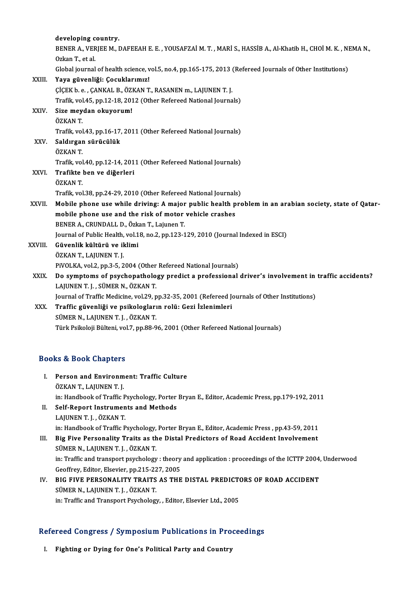|                                  | developing country.                                                                                         |
|----------------------------------|-------------------------------------------------------------------------------------------------------------|
|                                  | BENER A., VERJEE M., DAFEEAH E. E., YOUSAFZAİ M. T., MARİ S., HASSİB A., Al-Khatib H., CHOİ M. K., NEMA N., |
|                                  | Ozkan T, et al.                                                                                             |
|                                  | Global journal of health science, vol.5, no.4, pp.165-175, 2013 (Refereed Journals of Other Institutions)   |
| XXIII.                           | Yaya güvenliği: Çocuklarımız!                                                                               |
|                                  | ÇİÇEK b. e., ÇANKAL B., ÖZKAN T., RASANEN m., LAJUNEN T. J.                                                 |
|                                  | Trafik, vol.45, pp.12-18, 2012 (Other Refereed National Journals)                                           |
| XXIV.                            | Size meydan okuyorum!                                                                                       |
|                                  | ÖZKAN T                                                                                                     |
|                                  | Trafik, vol.43, pp.16-17, 2011 (Other Refereed National Journals)                                           |
| XXV.                             | Saldırgan sürücülük                                                                                         |
|                                  | ÖZKAN T                                                                                                     |
|                                  | Trafik, vol.40, pp.12-14, 2011 (Other Refereed National Journals)                                           |
| XXVI.                            | Trafikte ben ve diğerleri                                                                                   |
|                                  | ÖZKAN T.                                                                                                    |
|                                  | Trafik, vol.38, pp.24-29, 2010 (Other Refereed National Journals)                                           |
| XXVII.                           | Mobile phone use while driving: A major public health problem in an arabian society, state of Qatar-        |
|                                  | mobile phone use and the risk of motor vehicle crashes                                                      |
|                                  | BENER A., CRUNDALL D., Özkan T., Lajunen T.                                                                 |
|                                  | Journal of Public Health, vol.18, no.2, pp.123-129, 2010 (Journal Indexed in ESCI)                          |
| XXVIII.                          | Güvenlik kültürü ve iklimi                                                                                  |
|                                  | ÖZKAN T., LAJUNEN T. J.                                                                                     |
|                                  | PiVOLKA, vol.2, pp.3-5, 2004 (Other Refereed National Journals)                                             |
| XXIX.                            | Do symptoms of psychopathology predict a professional driver's involvement in traffic accidents?            |
|                                  | LAJUNEN T. J., SÜMER N., ÖZKAN T.                                                                           |
|                                  | Journal of Traffic Medicine, vol.29, pp.32-35, 2001 (Refereed Journals of Other Institutions)               |
| XXX.                             | Traffic güvenliği ve psikologların rolü: Gezi İzlenimleri                                                   |
|                                  | SÜMER N., LAJUNEN T. J., ÖZKAN T.                                                                           |
|                                  | Türk Psikoloji Bülteni, vol.7, pp.88-96, 2001 (Other Refereed National Journals)                            |
|                                  |                                                                                                             |
| <b>Books &amp; Book Chapters</b> |                                                                                                             |

| <b>Books &amp; Book Chapters</b> |                                                                                                          |
|----------------------------------|----------------------------------------------------------------------------------------------------------|
| L                                | Person and Environment: Traffic Culture                                                                  |
|                                  | ÖZKAN T., LAJUNEN T. J.                                                                                  |
|                                  | in: Handbook of Traffic Psychology, Porter Bryan E., Editor, Academic Press, pp.179-192, 2011            |
| II.                              | <b>Self-Report Instruments and Methods</b>                                                               |
|                                  | LAJUNEN T. J., ÖZKAN T.                                                                                  |
|                                  | in: Handbook of Traffic Psychology, Porter Bryan E., Editor, Academic Press, pp.43-59, 2011              |
| III.                             | Big Five Personality Traits as the Distal Predictors of Road Accident Involvement                        |
|                                  | SÜMER N., LAJUNEN T. J., ÖZKAN T.                                                                        |
|                                  | in: Traffic and transport psychology : theory and application : proceedings of the ICTTP 2004, Underwood |
|                                  | Cooffnou Editor Floorien nn 215, 227, 2005                                                               |

## SÜMER N., LAJUNEN T. J. , ÖZKAN T.<br>in: Traffic and transport psychology : theory<br>Geoffrey, Editor, Elsevier, pp.215-227, 2005<br>PLC EUVE PERSONAL ITV TRAITS AS TUE In: Traffic and transport psychology : theory and application : proceedings of the ICTTP 2004,<br>Geoffrey, Editor, Elsevier, pp.215-227, 2005<br>IV. BIG FIVE PERSONALITY TRAITS AS THE DISTAL PREDICTORS OF ROAD ACCIDENT<br>SUMER N.

## Geoffrey, Editor, Elsevier, pp.215-22<br>BIG FIVE PERSONALITY TRAITS<br>SÜMER N., LAJUNEN T. J. , ÖZKAN T.<br>in: Traffic and Transport Pavchalagu BIG FIVE PERSONALITY TRAITS AS THE DISTAL PREDICT(<br>SÜMER N., LAJUNEN T. J. , ÖZKAN T.<br>in: Traffic and Transport Psychology, , Editor, Elsevier Ltd., 2005

## m: Iramc and Transport Psychology, , Editor, Elsevier Ltd., 2005<br>Refereed Congress / Symposium Publications in Proceedings efereed Congress / Symposium Publications in Pro<br>I. Fighting or Dying for One's Political Party and Country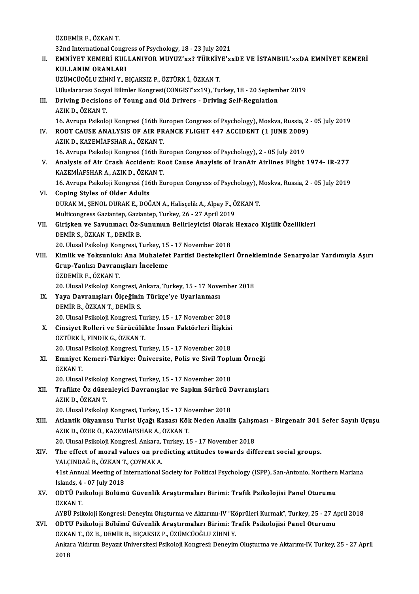ÖZDEMİRF.,ÖZKANT. ÖZDEMİR F., ÖZKAN T.<br>32nd International Congress of Psychology, 18 - 23 July 2021<br>EMNİVET KEMERÎ KULLANIYOR MUVUZ'uy? TÜRKİYE'u II. EMNİYET KEMERİ KULLANIYOR MUYUZ'xx? TÜRKİYE'xxDE VE İSTANBUL'xxDA EMNİYET KEMERİ<br>KULLANIM ORANLARI 32nd International Congr<br>EMNİYET KEMERİ KUL<br>KULLANIM ORANLARI<br>ÜZÜMCÜQĞI U ZUNİ V ÜZÜMCÜOĞLUZİHNİY.,BIÇAKSIZ P.,ÖZTÜRKİ.,ÖZKANT. l.UluslararasıSosyalBilimlerKongresi(CONGIST'xx19),Turkey,18 -20 September 2019 UZUMCUOĞLU ZIHNI Y., BIÇAKSIZ P., ÖZTÜRK İ., ÖZKAN T.<br>1. LUluslararası Sosyal Bilimler Kongresi(CONGIST'xx19), Turkey, 18 - 20 Septem<br>1. Driving Decisions of Young and Old Drivers - Driving Self-Regulation LUluslararası Sosy<br><mark>Driving Decision</mark><br>AZIK D., ÖZKAN T.<br>16. Arrupa Psikala AZIK D., ÖZKAN T.<br>16. Avrupa Psikoloji Kongresi (16th Europen Congress of Psychology), Moskva, Russia, 2 - 05 July 2019 AZIK D., ÖZKAN T.<br>16. Avrupa Psikoloji Kongresi (16th Europen Congress of Psychology), Moskva, Russia, 2<br>IV. ROOT CAUSE ANALYSIS OF AIR FRANCE FLIGHT 447 ACCIDENT (1 JUNE 2009) 16. Avrupa Psikoloji Kongresi (16th Eu<br>ROOT CAUSE ANALYSIS OF AIR FR<br>AZIK D., KAZEMİAFSHAR A., ÖZKAN T.<br>16. Avrupa Psikoloji Kongresi (16th Eu 16.AVRUPA IN THE REAR OF AIR FRANCE REART 1947 ACCIDENT (1 JUNE 2009)<br>16.Avrupa Psikoloji Kongresi (16th Europen Congress of Psychology), 2 - 05 July 2019<br>Analysis of Air Crash Assident: Boot Cause Anaylsis of IranAir Airl AZIK D., KAZEMİAFSHAR A., ÖZKAN T.<br>16. Avrupa Psikoloji Kongresi (16th Europen Congress of Psychology), 2 - 05 July 2019<br>1974- V. Analysis of Air Crash Accident: Root Cause Anaylsis of IranAir Airlines Flight 1974- IR-KAZEMİAFSHARA.,AZIKD.,ÖZKANT. Analysis of Air Crash Accident: Root Cause Anaylsis of IranAir Airlines Flight 1974- IR-277<br>KAZEMİAFSHAR A., AZIK D., ÖZKAN T.<br>16. Avrupa Psikoloji Kongresi (16th Europen Congress of Psychology), Moskva, Russia, 2 - 05 Jul VI. Coping Styles of Older Adults 16. Avrupa Psikoloji Kongresi (16th Europen Congress of Psychology), N<br>Coping Styles of Older Adults<br>DURAK M., ŞENOL DURAK E., DOĞAN A., Halisçelik A., Alpay F., ÖZKAN T.<br>Multisongress Carionton Carionton Turkey, 26, 27 An DURAK M., ŞENOL DURAK E., DOĞAN A., Halisçelik A., Alpay F., ÖZKAN T.<br>Multicongress Gaziantep, Gaziantep, Turkey, 26 - 27 April 2019 DURAK M., ŞENOL DURAK E., DOĞAN A., Halisçelik A., Alpay F., ÖZKAN T.<br>Multicongress Gaziantep, Gaziantep, Turkey, 26 - 27 April 2019<br>VII. Girişken ve Savunmacı Öz-Sunumun Belirleyicisi Olarak Hexaco Kişilik Özellikleri Multicongress Gaziantep, Gazia<br>Girişken ve Savunmacı Öz-S<br>DEMİR S., ÖZKAN T., DEMİR B.<br>20 Hlucal Baitoloji Kongresi T Girişken ve Savunmacı Öz-Sunumun Belirleyicisi Olarak<br>DEMİR S., ÖZKAN T., DEMİR B.<br>20. Ulusal Psikoloji Kongresi, Turkey, 15 - 17 November 2018<br>Kimlik ve Yeksunluki Ana Muhalafet Bartisi Desteksiler DEMİR S., ÖZKAN T., DEMİR B.<br>20. Ulusal Psikoloji Kongresi, Turkey, 15 - 17 November 2018<br>VIII. Kimlik ve Yoksunluk: Ana Muhalefet Partisi Destekçileri Örnekleminde Senaryolar Yardımıyla Aşırı<br>Crun Yanlısı Dayranısları 20. Ulusal Psikoloji Kongresi, Turkey, 15 - 17 November 2018<br>Kimlik ve Yoksunluk: Ana Muhalefet Partisi Destekçiler<br>Grup-Yanlısı Davranışları İnceleme<br>ÖZDEMİR F., ÖZKAN T. Kimlik ve Yoksunluk<br>Grup-Yanlısı Davran<br>ÖZDEMİR F., ÖZKAN T.<br>20 Ulucal Beikoleji Kon 20. Ulusal Psikoloji Kongresi, Ankara, Turkey, 15 - 17 November 2018 ÖZDEMİR F., ÖZKAN T.<br>20. Ulusal Psikoloji Kongresi, Ankara, Turkey, 15 - 17 Nove<br>IX. Yaya Davranışları Ölçeğinin Türkçe'ye Uyarlanması<br>DEMİR R. ÖZKAN T. DEMİR S 20. Ulusal Psikoloji Kongresi, A<br><mark>Yaya Davranışları Ölçeğinir</mark><br>DEMİR B., ÖZKAN T., DEMİR S.<br>20. Ulusal Psikoloji Kongresi T Yaya Davranışları Ölçeğinin Türkçe'ye Uyarlanması<br>DEMİR B., ÖZKAN T., DEMİR S.<br>20. Ulusal Psikoloji Kongresi, Turkey, 15 - 17 November 2018<br>Ginsiyat Polloni ve Sünüsülültte İnsan Foktörleri İlişkisi DEMİR B., ÖZKAN T., DEMİR S.<br>20. Ulusal Psikoloji Kongresi, Turkey, 15 - 17 November 2018<br>X. Cinsiyet Rolleri ve Sürücülükte İnsan Faktörleri İlişkisi<br>ÖZTÜPK İ. ENDIK G. ÖZKAN T. 20. Ulusal Psikoloji Kongresi, Tu<br>Cinsiyet Rolleri ve Sürücülül<br>ÖZTÜRK İ., FINDIK G., ÖZKAN T.<br>20. Ulusal Bsikoloji Kongresi Tu Cinsiyet Rolleri ve Sürücülükte İnsan Faktörleri İlişkisi<br>ÖZTÜRK İ., FINDIK G., ÖZKAN T.<br>20. Ulusal Psikoloji Kongresi, Turkey, 15 - 17 November 2018<br>Emniyat Komoni Türkiye, Üniyansite, Bolis ve Sivil Tonlı ÖZTÜRK İ., FINDIK G., ÖZKAN T.<br>20. Ulusal Psikoloji Kongresi, Turkey, 15 - 17 November 2018<br>XI. Emniyet Kemeri-Türkiye: Üniversite, Polis ve Sivil Toplum Örneği<br>ÖZKAN T 20. Ulusal<br>**Emniyet**<br>ÖZKAN T.<br>20. Ulusal Emniyet Kemeri-Türkiye: Üniversite, Polis ve Sivil Toplı<br>ÖZKAN T.<br>20. Ulusal Psikoloji Kongresi, Turkey, 15 - 17 November 2018<br>Trafikte Öz dürenlevisi Devrenyalar ve Sankın Sünüsü D ÖZKAN T.<br>20. Ulusal Psikoloji Kongresi, Turkey, 15 - 17 November 2018<br>XII. Trafikte Öz düzenleyici Davranışlar ve Sapkın Sürücü Davranışları<br>AZIK D. ÖZKAN T. 20. Ulusal Psikoloji<br>Trafikte Öz düze<br>AZIK D., ÖZKAN T.<br>20. Ulusal Psikoloji Trafikte Öz düzenleyici Davranışlar ve Sapkın Sürücü D<br>AZIK D., ÖZKAN T.<br>20. Ulusal Psikoloji Kongresi, Turkey, 15 - 17 November 2018<br>Atlantik Okvanusu Turist Heağı Karası Kök Noden Anali AZIK D., ÖZKAN T.<br>20. Ulusal Psikoloji Kongresi, Turkey, 15 - 17 November 2018<br>XIII. Atlantik Okyanusu Turist Uçağı Kazası Kök Neden Analiz Çalışması - Birgenair 301 Sefer Sayılı Uçuşu<br>AZIK D. ÖZER Ö. KAZEMİAESHAR A. Ö 20. Ulusal Psikoloji Kongresi, Turkey, 15 - 17 No.<br>Atlantik Okyanusu Turist Uçağı Kazası Kök<br>AZIK D., ÖZER Ö., KAZEMİAFSHAR A., ÖZKAN T.<br>20. Ulusal Bsikoloji Kongrest, Ankara, Turkey, 11 Atlantik Okyanusu Turist Uçağı Kazası Kök Neden Analiz Çalışı<br>AZIK D., ÖZER Ö., KAZEMİAFSHAR A., ÖZKAN T.<br>20. Ulusal Psikoloji Kongresİ, Ankara, Turkey, 15 - 17 November 2018<br>The effect of moral values en predisting ettitu AZIK D., ÖZER Ö., KAZEMİAFSHAR A., ÖZKAN T.<br>20. Ulusal Psikoloji Kongresİ, Ankara, Turkey, 15 - 17 November 2018<br>XIV. The effect of moral values on predicting attitudes towards different social groups.<br>XALCINDAČ B. ÖZK 20. Ulusal Psikoloji Kongresİ, Ankara,<br>The effect of moral values on pre<br>YALÇINDAĞ B., ÖZKAN T., ÇOYMAK A.<br>41st Annual Meeting of International i 41st Annual Meeting of International Society for Political Psychology (ISPP), San-Antonio, Northern Mariana YALÇINDAĞ B., ÖZKAN T., ÇOYMAK A. XV. ODTÜ Psikoloji Bölümü Güvenlik Araştırmaları Birimi: Trafik Psikolojisi Panel Oturumu Islands, 4 - 07 July 2018 ODTÜ Psikoloji Bölümü Güvenlik Araştırmaları Birimi: Trafik Psikolojisi Panel Oturumu<br>ÖZKAN T.<br>AYBÜ Psikoloji Kongresi: Deneyim Oluşturma ve Aktarımı-IV "Köprüleri Kurmak", Turkey, 25 - 27 April 2018<br>ODTII Psikoloji Bölümü ÖZKAN T.<br>AYBÜ Psikoloji Kongresi: Deneyim Oluşturma ve Aktarımı-IV "Köprüleri Kurmak", Turkey, 25 - 27 A<br>XVI. ODTU Psikoloji Bölümü Güvenlik Araştırmaları Birimi: Trafik Psikolojisi Panel Oturumu<br>ÖZKAN T. ÖZ B. DEMİR B AYBÜ Psikoloji Kongresi: Deneyim Oluşturma ve Aktarımı-IV "Kö<br>ODTU Psikoloji Bölümü Güvenlik Araştırmaları Birimi: Tr<br>ÖZKAN T., ÖZ B., DEMİR B., BIÇAKSIZ P., ÜZÜMCÜOĞLU ZİHNİ Y.<br>Ankara Yıldınım Payagıt Universitesi Beikole ODTU Psikoloji Boʻlumu Guvenlik Araştırmaları Birimi: Trafik Psikolojisi Panel Oturumu<br>ÖZKAN T., ÖZ B., DEMİR B., BIÇAKSIZ P., ÜZÜMCÜOĞLU ZİHNİ Y.<br>Ankara Yıldırım Beyazıt Universitesi Psikoloji Kongresi: Deneyim Oluşturma ÖZKA<br>Anka<br>2018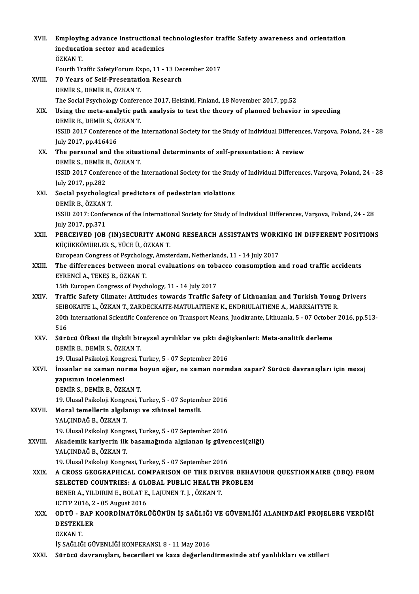| XVII.   | Employing advance instructional technologiesfor traffic Safety awareness and orientation                                                                                                    |
|---------|---------------------------------------------------------------------------------------------------------------------------------------------------------------------------------------------|
|         | ineducation sector and academics<br>ÖZKAN T.                                                                                                                                                |
|         | Fourth Traffic SafetyForum Expo, 11 - 13 December 2017                                                                                                                                      |
| XVIII.  | 70 Years of Self-Presentation Research                                                                                                                                                      |
|         | DEMIR S., DEMIR B., ÖZKAN T.                                                                                                                                                                |
|         | The Social Psychology Conference 2017, Helsinki, Finland, 18 November 2017, pp.52                                                                                                           |
| XIX.    | Using the meta-analytic path analysis to test the theory of planned behavior in speeding<br>DEMİR B., DEMİR S., ÖZKAN T.                                                                    |
|         | ISSID 2017 Conference of the International Society for the Study of Individual Differences, Varsova, Poland, 24 - 28<br>July 2017, pp.416416                                                |
| XX.     | The personal and the situational determinants of self-presentation: A review<br>DEMİR S., DEMİR B., ÖZKAN T.                                                                                |
|         | ISSID 2017 Conference of the International Society for the Study of Individual Differences, Varsova, Poland, 24 - 28<br>July 2017, pp.282                                                   |
| XXI.    | Social psychological predictors of pedestrian violations                                                                                                                                    |
|         | DEMİR B., ÖZKAN T.                                                                                                                                                                          |
|         | ISSID 2017: Conference of the International Society for Study of Individual Differences, Varsova, Poland, 24 - 28                                                                           |
|         | July 2017, pp 371                                                                                                                                                                           |
| XXII.   | PERCEIVED JOB (IN)SECURITY AMONG RESEARCH ASSISTANTS WORKING IN DIFFERENT POSITIONS<br>KÜÇÜKKÖMÜRLER S., YÜCE Ü., ÖZKAN T.                                                                  |
|         | European Congress of Psychology, Amsterdam, Netherlands, 11 - 14 July 2017                                                                                                                  |
| XXIII.  | The differences between moral evaluations on tobacco consumption and road traffic accidents<br>EYRENCİ A, TEKEŞ B, ÖZKAN T.                                                                 |
|         | 15th Europen Congress of Psychology, 11 - 14 July 2017                                                                                                                                      |
| XXIV.   | Traffic Safety Climate: Attitudes towards Traffic Safety of Lithuanian and Turkish Young Drivers<br>SEIBOKAITE L., ÖZKAN T., ZARDECKAITE-MATULAITIENE K., ENDRIULAITIENE A., MARKSAITYTE R. |
|         | 20th International Scientific Conference on Transport Means, Juodkrante, Lithuania, 5 - 07 October 2016, pp.513-                                                                            |
|         | 516                                                                                                                                                                                         |
| XXV     | Sürücü Öfkesi ile ilişkili bireysel ayrılıklar ve çıktı değişkenleri: Meta-analitik derleme<br>DEMIR B., DEMIR S., ÖZKAN T.                                                                 |
|         | 19. Ulusal Psikoloji Kongresi, Turkey, 5 - 07 September 2016                                                                                                                                |
| XXVI.   | İnsanlar ne zaman norma boyun eğer, ne zaman normdan sapar? Sürücü davranışları için mesaj                                                                                                  |
|         | yapısının incelenmesi                                                                                                                                                                       |
|         | DEMIR S., DEMIR B., ÖZKAN T.                                                                                                                                                                |
|         | 19. Ulusal Psikoloji Kongresi, Turkey, 5 - 07 September 2016                                                                                                                                |
| XXVII.  | Moral temellerin algılanışı ve zihinsel temsili.<br>YALÇINDAĞ B., ÖZKAN T.                                                                                                                  |
|         | 19. Ulusal Psikoloji Kongresi, Turkey, 5 - 07 September 2016                                                                                                                                |
| XXVIII. | Akademik kariyerin ilk basamağında algılanan iş güvencesi(zliği)                                                                                                                            |
|         | YALÇINDAĞ B., ÖZKAN T.<br>19. Ulusal Psikoloji Kongresi, Turkey, 5 - 07 September 2016                                                                                                      |
| XXIX.   | A CROSS GEOGRAPHICAL COMPARISON OF THE DRIVER BEHAVIOUR QUESTIONNAIRE (DBQ) FROM                                                                                                            |
|         | SELECTED COUNTRIES: A GLOBAL PUBLIC HEALTH PROBLEM                                                                                                                                          |
|         | BENER A., YILDIRIM E., BOLAT E., LAJUNEN T. J., ÖZKAN T.                                                                                                                                    |
|         | ICTTP 2016, 2 - 05 August 2016                                                                                                                                                              |
| XXX.    | ODTÜ - BAP KOORDİNATÖRLÜĞÜNÜN İŞ SAĞLIĞI VE GÜVENLİĞİ ALANINDAKİ PROJELERE VERDİĞİ                                                                                                          |
|         | <b>DESTEKLER</b>                                                                                                                                                                            |
|         | ÖZKAN T                                                                                                                                                                                     |
|         | İŞ SAĞLIĞI GÜVENLİĞİ KONFERANSI, 8 - 11 May 2016                                                                                                                                            |
| XXXI.   | Sürücü davranışları, becerileri ve kaza değerlendirmesinde atıf yanlılıkları ve stilleri                                                                                                    |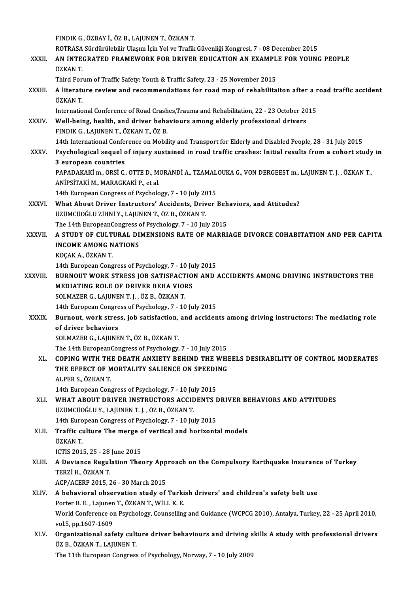FINDIKG.,ÖZBAYİ.,ÖZB.,LAJUNENT.,ÖZKANT.

FINDIK G., ÖZBAY İ., ÖZ B., LAJUNEN T., ÖZKAN T.<br>ROTRASA Sürdürülebilir Ulaşım İçin Yol ve Trafik Güvenliği Kongresi, 7 - 08 December 2015<br>AN INTECRATED ERAMEWORK FOR DRIVER EDUCATION AN EXAMBLE FOR YOUNG

FINDIK G., ÖZBAY İ., ÖZ B., LAJUNEN T., ÖZKAN T.<br>ROTRASA Sürdürülebilir Ulaşım İçin Yol ve Trafik Güvenliği Kongresi, 7 - 08 December 2015<br>XXXII. AN INTEGRATED FRAMEWORK FOR DRIVER EDUCATION AN EXAMPLE FOR YOUNG PEOPLE ROTRASA<br>**AN INTE**<br>ÖZKAN T.<br>Third For AN INTEGRATED FRAMEWORK FOR DRIVER EDUCATION AN EXAMPL<br>ÖZKAN T.<br>Third Forum of Traffic Safety: Youth & Traffic Safety, 23 - 25 November 2015<br>A literature review and recommendations for read man of rehabilita

ÖZKAN T.<br>Third Forum of Traffic Safety: Youth & Traffic Safety, 23 - 25 November 2015<br>XXXIII. A literature review and recommendations for road map of rehabilitaiton after a road traffic accident<br>ÖZKAN T Third Forum of Traffic Safety: Youth & Traffic Safety, 23 - 25 November 2015<br> **A literature review and recommendations for road map of rehabilitaiton after a** i<br>
ÖZKAN T.<br>
International Conference of Road Crashes,Trauma an A literature review and recommendations for road map of rehabilitaiton after a r<br>ÖZKAN T.<br>International Conference of Road Crashes,Trauma and Rehabilitation, 22 - 23 October 2015<br>Well being, boalth, and driver behaviours a

XXXIV. Well-being, health, and driver behaviours among elderly professional drivers FINDIKG.,LAJUNENT.,ÖZKANT.,ÖZB. Well-being, health, and driver behaviours among elderly professional drivers<br>FINDIK G., LAJUNEN T., ÖZKAN T., ÖZ B.<br>14th International Conference on Mobility and Transport for Elderly and Disabled People, 28 - 31 July 2015 FINDIK G., LAJUNEN T., ÖZKAN T., ÖZ B.<br>14th International Conference on Mobility and Transport for Elderly and Disabled People, 28 - 31 July 2015<br>XXXV. Psychological sequel of injury sustained in road traffic crashes: Init

14th International Confer<br>Psychological sequel<br>3 european countries<br>BABADAKAKI m. OPSI C Psychological sequel of injury sustained in road traffic crashes: Initial results from a cohort study<br>3 european countries<br>PAPADAKAKİ m., ORSİ C., OTTE D., MORANDİ A., TZAMALOUKA G., VON DERGEEST m., LAJUNEN T. J. , ÖZKAN

3 european countries<br>PAPADAKAKİ m., ORSİ C., OTTE D., M<br>ANİPSİTAKİ M., MARAGKAKİ P., et al.<br>14th European Constess of Pevebole PAPADAKAKİ m., ORSİ C., OTTE D., MORANDİ A., TZAMAL<br>ANİPSİTAKİ M., MARAGKAKİ P., et al.<br>14th European Congress of Psychology, 7 - 10 July 2015<br>What About Driver Instructors' Assidents, Driver I

- ANIPSITAKI M., MARAGKAKI P., et al.<br>14th European Congress of Psychology, 7 10 July 2015<br>XXXVI. What About Driver Instructors' Accidents, Driver Behaviors, and Attitudes?<br>1770MClOČI U ZIPNI V. LAUNEN T. ÖZ P. ÖZKAN T. 14th European Congress of Psychology, 7 - 10 July 20<br>What About Driver Instructors' Accidents, Driv<br>ÜZÜMCÜOĞLU ZİHNİ Y., LAJUNEN T., ÖZ B., ÖZKAN T.<br>The 14th European Congress of Psychology, 7 - 10 Jul What About Driver Instructors' Accidents, Driver Beh<br>ÜZÜMCÜOĞLU ZİHNİ Y., LAJUNEN T., ÖZ B., ÖZKAN T.<br>The 14th EuropeanCongress of Psychology, 7 - 10 July 2015<br>A STUDY OF CULTURAL DIMENSIONS RATE OF MARRI
- ÜZÜMCÜOĞLU ZİHNİ Y., LAJUNEN T., ÖZ B., ÖZKAN T.<br>The 14th EuropeanCongress of Psychology, 7 10 July 2015<br>XXXVII. A STUDY OF CULTURAL DIMENSIONS RATE OF MARRIAGE DIVORCE COHABITATION AND PER CAPITA<br>INCOME AMONG NATION The 14th EuropeanCongress of Psychology, 7 - 10 July 2015<br>A STUDY OF CULTURAL DIMENSIONS RATE OF MARRI<br>INCOME AMONG NATIONS<br>KOCAK A., ÖZKAN T. A STUDY OF CULT<br>INCOME AMONG N<br>KOÇAK A., ÖZKAN T.<br>14th Euronean Cong **INCOME AMONG NATIONS<br>KOÇAK A., ÖZKAN T.<br>14th European Congress of Psychology, 7 - 10 July 2015<br>PURNOUT WORK STRESS JOR SATISEACTION AND.**

XXXVIII. BURNOUT WORK STRESS JOB SATISFACTION AND ACCIDENTS AMONG DRIVING INSTRUCTORS THE MEDIATING ROLE OF DRIVER BEHA VIORS 14th European Congress of Psychology, 7 - 10 Ju<br>BURNOUT WORK STRESS JOB SATISFACTION<br>MEDIATING ROLE OF DRIVER BEHA VIORS<br>SOLMAZER C LAUINEN T L ÔZ B ÔZKAN T MEDIATING ROLE OF DRIVER BEHA VIORS<br>SOLMAZER G., LAJUNEN T. J. , ÖZ B., ÖZKAN T.<br>14th European Congress of Psychology, 7 - 10 July 2015<br>Burnout, work stress, job satisfastion, and assiden

SOLMAZER G., LAJUNEN T. J., ÖZ B., ÖZKAN T.

## XXXIX. Burnout, work stress, job satisfaction, and accidents among driving instructors: The mediating role<br>of driver behaviors 14th European Congre<br>Burnout, work stres<br>of driver behaviors<br>SOLMAZER C. LAUNE

SOLMAZERG.,LAJUNENT.,ÖZB.,ÖZKANT.

The 14th EuropeanCongress of Psychology, 7 - 10 July 2015

SOLMAZER G., LAJUNEN T., ÖZ B., ÖZKAN T.<br>The 14th EuropeanCongress of Psychology, 7 - 10 July 2015<br>XL. COPING WITH THE DEATH ANXIETY BEHIND THE WHEELS DESIRABILITY OF CONTROL MODERATES<br>THE EFEECT OF MORTALITY SALIENCE ON S The 14th EuropeanCongress of Psychology, 7 - 10 July 2015<br>COPING WITH THE DEATH ANXIETY BEHIND THE WHI<br>THE EFFECT OF MORTALITY SALIENCE ON SPEEDING<br>ALBER S (27KAN T **COPING WITH TH<br>THE EFFECT OF M<br>ALPER S., ÖZKAN T.<br>14th Europeen Cong** THE EFFECT OF MORTALITY SALIENCE ON SPEEDI<br>ALPER S., ÖZKAN T.<br>14th European Congress of Psychology, 7 - 10 July 2015<br>WHAT AROUT DRIVER INSTRUCTORS ACCIDENTS I

ALPER S., ÖZKAN T.<br>14th European Congress of Psychology, 7 - 10 July 2015<br>XLI. WHAT ABOUT DRIVER INSTRUCTORS ACCIDENTS DRIVER BEHAVIORS AND ATTITUDES<br>ÜZÜMCÜOĞLU Y., LAJUNEN T. J. , ÖZ B., ÖZKAN T. 14th European Congress of Psychology, 7 - 10 Ju<br>WHAT ABOUT DRIVER INSTRUCTORS ACCIL<br>ÜZÜMCÜOĞLU Y., LAJUNEN T. J. , ÖZ B., ÖZKAN T.<br>14th European Congress of Beychology, 7 - 10 Ju WHAT ABOUT DRIVER INSTRUCTORS ACCIDENTS I<br>ÜZÜMCÜOĞLU Y., LAJUNEN T. J. , ÖZ B., ÖZKAN T.<br>14th European Congress of Psychology, 7 - 10 July 2015<br>Traffic culture The merge of vertical and herigents

XLII. Traffic culture The merge of vertical and horizontal models<br>ÖZKAN T. 14th Euro<br>Traffic cu<br>ÖZKAN T.<br>ICTIS 201 Traffic culture The merge o<br>ÖZKAN T.<br>ICTIS 2015, 25 - 28 June 2015<br>A Deviance Begulation Theo

ÖZKAN T.<br>ICTIS 2015, 25 - 28 June 2015<br>XLIII. A Deviance Regulation Theory Approach on the Compulsory Earthquake Insurance of Turkey<br>TERZU PAKAN T ICTIS 2015, 25 - 28<br>A Deviance Regul<br>TERZİ H., ÖZKAN T.<br>ACP (ACEPP 2015-2 A Deviance Regulation Theory App<br>TERZİ H., ÖZKAN T.<br>ACP/ACERP 2015, 26 - 30 March 2015<br>A habayiaral absoruation study of

- TERZİ H., ÖZKAN T.<br>ACP/ACERP 2015, 26 30 March 2015<br>XLIV. A behavioral observation study of Turkish drivers' and children's safety belt use<br>Porter B. E. Jaiuner T. ÖZKAN T. WÜJ K. E ACP/ACERP 2015, 26 - 30 March 2015<br>A behavioral observation study of Turki<br>Porter B. E. , Lajunen T., ÖZKAN T., WİLL K. E.<br>World Conference on Psychology, Councelling A behavioral observation study of Turkish drivers' and children's safety belt use<br>Porter B. E. , Lajunen T., ÖZKAN T., WİLL K. E.<br>World Conference on Psychology, Counselling and Guidance (WCPCG 2010), Antalya, Turkey, 22 -Porter B. E. , Lajunen<br>World Conference of<br>vol.5, pp.1607-1609<br>Organizational of World Conference on Psychology, Counselling and Guidance (WCPCG 2010), Antalya, Turkey, 22 - 25 April 2010,<br>vol.5, pp.1607-1609<br>XLV. Organizational safety culture driver behaviours and driving skills A study with professio
- vol.5, pp.1607-1609<br>XLV. Organizational safety culture driver behaviours and driving skills A study with professional drivers<br>ÖZ B., ÖZKAN T., LAJUNEN T.

The 11th European Congress of Psychology, Norway, 7 - 10 July 2009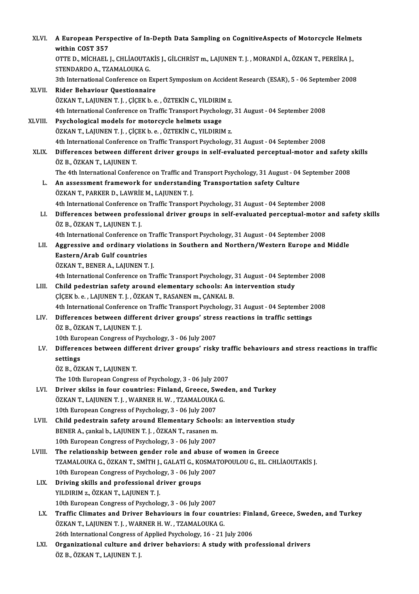| XLVI.   | A European Perspective of In-Depth Data Sampling on CognitiveAspects of Motorcycle Helmets<br>within COST 357                                                |
|---------|--------------------------------------------------------------------------------------------------------------------------------------------------------------|
|         | OTTE D., MİCHAEL J., CHLİAOUTAKİS J., GİLCHRİST m., LAJUNEN T. J., MORANDİ A., ÖZKAN T., PEREİRA J.,<br>STENDARDO A., TZAMALOUKA G.                          |
|         | 3th International Conference on Expert Symposium on Accident Research (ESAR), 5 - 06 September 2008                                                          |
| XLVII.  | Rider Behaviour Questionnaire                                                                                                                                |
|         | ÖZKAN T., LAJUNEN T. J., ÇİÇEK b. e., ÖZTEKİN C., YILDIRIM z.<br>4th International Conference on Traffic Transport Psychology, 31 August - 04 September 2008 |
| XLVIII. | Psychological models for motorcycle helmets usage                                                                                                            |
|         | ÖZKAN T., LAJUNEN T. J., ÇİÇEK b. e., ÖZTEKİN C., YILDIRIM z.                                                                                                |
|         | 4th International Conference on Traffic Transport Psychology, 31 August - 04 September 2008                                                                  |
| XLIX.   | Differences between different driver groups in self-evaluated perceptual-motor and safety skills<br>ÖZ B, ÖZKAN T, LAJUNEN T.                                |
|         | The 4th International Conference on Traffic and Transport Psychology, 31 August - 04 September 2008                                                          |
| L.      | An assessment framework for understanding Transportation safety Culture<br>ÖZKAN T., PARKER D., LAWRİE M., LAJUNEN T. J.                                     |
|         | 4th International Conference on Traffic Transport Psychology, 31 August - 04 September 2008                                                                  |
| LI.     | Differences between professional driver groups in self-evaluated perceptual-motor and safety skills<br>ÖZ B., ÖZKAN T., LAJUNEN T. J.                        |
|         | 4th International Conference on Traffic Transport Psychology, 31 August - 04 September 2008                                                                  |
| LII.    | Aggressive and ordinary violations in Southern and Northern/Western Europe and Middle                                                                        |
|         | Eastern/Arab Gulf countries                                                                                                                                  |
|         | ÖZKAN T., BENER A., LAJUNEN T. J.                                                                                                                            |
|         | 4th International Conference on Traffic Transport Psychology, 31 August - 04 September 2008                                                                  |
| LIII.   | Child pedestrian safety around elementary schools: An intervention study<br>ÇİÇEK b. e., LAJUNEN T. J., ÖZKAN T., RASANEN m., ÇANKAL B.                      |
|         | 4th International Conference on Traffic Transport Psychology, 31 August - 04 September 2008                                                                  |
| LIV.    | Differences between different driver groups' stress reactions in traffic settings                                                                            |
|         | ÖZ B., ÖZKAN T., LAJUNEN T. J.                                                                                                                               |
|         | 10th European Congress of Psychology, 3 - 06 July 2007                                                                                                       |
| LV.     | Differences between different driver groups' risky traffic behaviours and stress reactions in traffic                                                        |
|         | settings                                                                                                                                                     |
|         | ÖZ B., ÖZKAN T., LAJUNEN T.                                                                                                                                  |
|         | The 10th European Congress of Psychology, 3 - 06 July 2007                                                                                                   |
| LVI.    | Driver skilss in four countries: Finland, Greece, Sweden, and Turkey                                                                                         |
|         | ÖZKAN T., LAJUNEN T. J. , WARNER H. W. , TZAMALOUKA G.                                                                                                       |
|         | 10th European Congress of Psychology, 3 - 06 July 2007                                                                                                       |
| LVII.   | Child pedestrain safety around Elementary Schools: an intervention study<br>BENER A., çankal b., LAJUNEN T. J., ÖZKAN T., rasanen m.                         |
|         | 10th European Congress of Psychology, 3 - 06 July 2007                                                                                                       |
| LVIII.  | The relationship between gender role and abuse of women in Greece                                                                                            |
|         | TZAMALOUKA G., ÖZKAN T., SMİTH J., GALATİ G., KOSMATOPOULOU G., EL. CHLİAOUTAKİS J.                                                                          |
|         | 10th European Congress of Psychology, 3 - 06 July 2007                                                                                                       |
| LIX.    | Driving skills and professional driver groups                                                                                                                |
|         | YILDIRIM z., ÖZKAN T., LAJUNEN T. J.                                                                                                                         |
|         | 10th European Congress of Psychology, 3 - 06 July 2007                                                                                                       |
| LX.     | Traffic Climates and Driver Behaviours in four countries: Finland, Greece, Sweden, and Turkey                                                                |
|         | ÖZKAN T., LAJUNEN T. J. , WARNER H. W. , TZAMALOUKA G.                                                                                                       |
|         | 26th International Congress of Applied Psychology, 16 - 21 July 2006                                                                                         |
| LXI.    | Organizational culture and driver behaviors: A study with professional drivers<br>ÖZ B., ÖZKAN T., LAJUNEN T. J.                                             |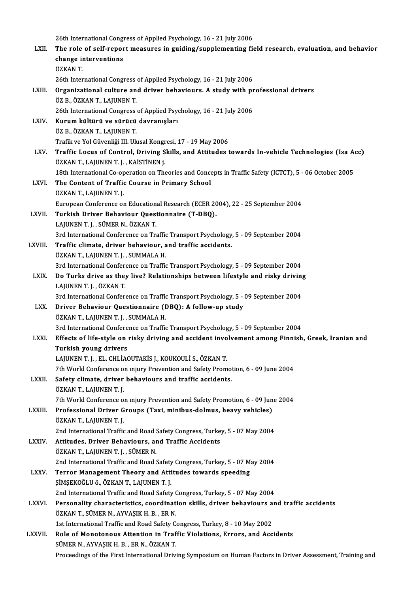|                | 26th International Congress of Applied Psychology, 16 - 21 July 2006                                                                                                |
|----------------|---------------------------------------------------------------------------------------------------------------------------------------------------------------------|
| LXII.          | The role of self-report measures in guiding/supplementing field research, evaluation, and behavior                                                                  |
|                | change interventions                                                                                                                                                |
|                | ÖZKAN T.                                                                                                                                                            |
|                | 26th International Congress of Applied Psychology, 16 - 21 July 2006                                                                                                |
| LXIII.         | Organizational culture and driver behaviours. A study with professional drivers                                                                                     |
|                | ÖZ B., ÖZKAN T., LAJUNEN T.                                                                                                                                         |
|                | 26th International Congress of Applied Psychology, 16 - 21 July 2006                                                                                                |
| LXIV.          | Kurum kültürü ve sürücü davranışları                                                                                                                                |
|                | ÖZ B., ÖZKAN T., LAJUNEN T.                                                                                                                                         |
| LXV.           | Trafik ve Yol Güvenliği III. Ulusal Kongresi, 17 - 19 May 2006<br>Traffic Locus of Control, Driving Skills, and Attitudes towards In-vehicle Technologies (Isa Acc) |
|                | ÖZKAN T., LAJUNEN T. J., KAİSTİNEN j.                                                                                                                               |
|                | 18th International Co-operation on Theories and Concepts in Traffic Safety (ICTCT), 5 - 06 October 2005                                                             |
| LXVI.          | The Content of Traffic Course in Primary School                                                                                                                     |
|                | ÖZKAN T., LAJUNEN T. J.                                                                                                                                             |
|                | European Conference on Educational Research (ECER 2004), 22 - 25 September 2004                                                                                     |
| LXVII.         | Turkish Driver Behaviour Questionnaire (T-DBQ).                                                                                                                     |
|                | LAJUNEN T. J., SÜMER N., ÖZKAN T.                                                                                                                                   |
|                | 3rd International Conference on Traffic Transport Psychology, 5 - 09 September 2004                                                                                 |
| LXVIII.        | Traffic climate, driver behaviour, and traffic accidents.                                                                                                           |
|                | ÖZKAN T., LAJUNEN T. J., SUMMALA H.                                                                                                                                 |
|                | 3rd International Conference on Traffic Transport Psychology, 5 - 09 September 2004                                                                                 |
| LXIX.          | Do Turks drive as they live? Relationships between lifestyle and risky driving                                                                                      |
|                | LAJUNEN T J , ÖZKAN T                                                                                                                                               |
|                | 3rd International Conference on Traffic Transport Psychology, 5 - 09 September 2004<br>Driver Behaviour Questionnaire (DBQ): A follow-up study                      |
| LXX.           | ÖZKAN T., LAJUNEN T. J., SUMMALA H.                                                                                                                                 |
|                | 3rd International Conference on Traffic Transport Psychology, 5 - 09 September 2004                                                                                 |
| LXXI.          | Effects of life-style on risky driving and accident involvement among Finnish, Greek, Iranian and                                                                   |
|                | Turkish young drivers                                                                                                                                               |
|                | LAJUNEN T. J., EL. CHLİAOUTAKİS J., KOUKOULİ S., ÖZKAN T.                                                                                                           |
|                | 7th World Conference on mjury Prevention and Safety Promotion, 6 - 09 June 2004                                                                                     |
| <b>LXXII</b> . | Safety climate, driver behaviours and traffic accidents.                                                                                                            |
|                | ÖZKAN T., LAJUNEN T. J.                                                                                                                                             |
|                | 7th World Conference on mjury Prevention and Safety Promotion, 6 - 09 June 2004                                                                                     |
| LXXIII.        | Professional Driver Groups (Taxi, minibus-dolmus, heavy vehicles)                                                                                                   |
|                | ÖZKAN T., LAJUNEN T. J.                                                                                                                                             |
|                | 2nd International Traffic and Road Safety Congress, Turkey, 5 - 07 May 2004                                                                                         |
| <b>LXXIV</b>   | Attitudes, Driver Behaviours, and Traffic Accidents                                                                                                                 |
|                | ÖZKAN T., LAJUNEN T. J., SÜMER N.                                                                                                                                   |
|                | 2nd International Traffic and Road Safety Congress, Turkey, 5 - 07 May 2004<br>Terror Management Theory and Attitudes towards speeding                              |
| <b>LXXV</b>    | ŞİMŞEKOĞLU ö., ÖZKAN T., LAJUNEN T. J.                                                                                                                              |
|                | 2nd International Traffic and Road Safety Congress, Turkey, 5 - 07 May 2004                                                                                         |
| <b>LXXVI</b>   | Personality characteristics, coordination skills, driver behaviours and traffic accidents                                                                           |
|                | ÖZKAN T., SÜMER N., AYVAŞIK H. B., ER N.                                                                                                                            |
|                | 1st International Traffic and Road Safety Congress, Turkey, 8 - 10 May 2002                                                                                         |
| LXXVII.        | Role of Monotonous Attention in Traffic Violations, Errors, and Accidents                                                                                           |
|                | SÜMER N., AYVAŞIK H. B., ER N., ÖZKAN T.                                                                                                                            |
|                | Proceedings of the First International Driving Symposium on Human Factors in Driver Assessment, Training and                                                        |
|                |                                                                                                                                                                     |